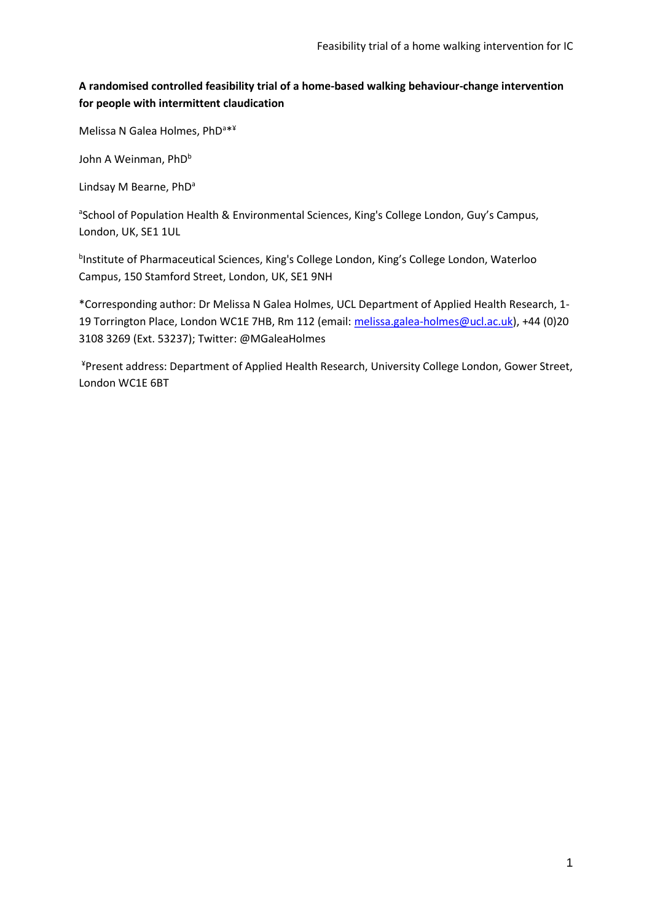# **A randomised controlled feasibility trial of a home-based walking behaviour-change intervention for people with intermittent claudication**

Melissa N Galea Holmes, PhD<sup>a\*\*</sup>

John A Weinman, PhD<sup>b</sup>

Lindsay M Bearne, PhD<sup>a</sup>

<sup>a</sup>School of Population Health & Environmental Sciences, King's College London, Guy's Campus, London, UK, SE1 1UL

<sup>b</sup>Institute of Pharmaceutical Sciences, King's College London, King's College London, Waterloo Campus, 150 Stamford Street, London, UK, SE1 9NH

\*Corresponding author: Dr Melissa N Galea Holmes, UCL Department of Applied Health Research, 1- 19 Torrington Place, London WC1E 7HB, Rm 112 (email: melissa.galea-holmes@ucl.ac.uk), +44 (0)20 3108 3269 (Ext. 53237); Twitter: @MGaleaHolmes

¥Present address: Department of Applied Health Research, University College London, Gower Street, London WC1E 6BT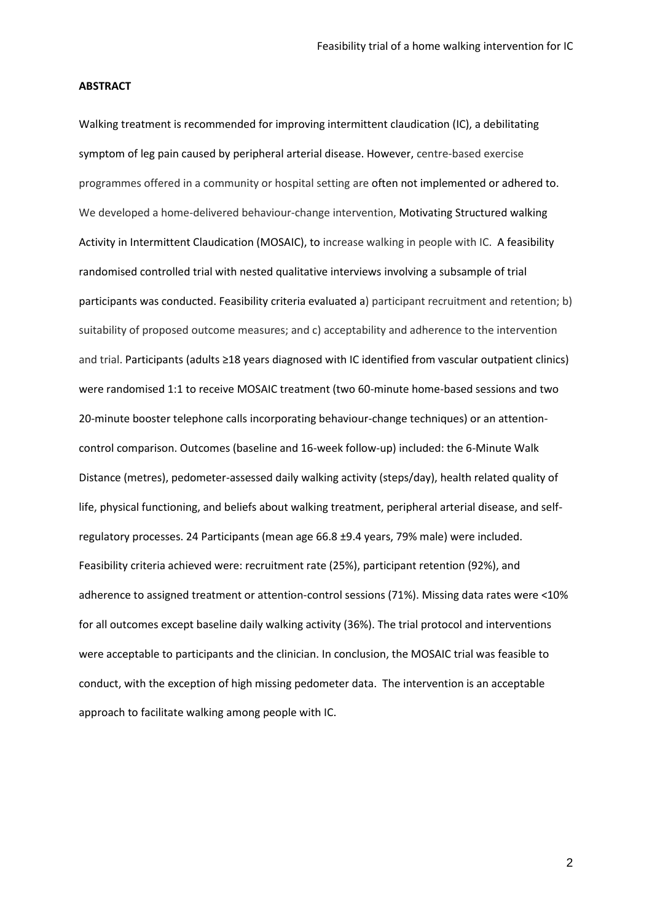#### **ABSTRACT**

Walking treatment is recommended for improving intermittent claudication (IC), a debilitating symptom of leg pain caused by peripheral arterial disease. However, centre-based exercise programmes offered in a community or hospital setting are often not implemented or adhered to. We developed a home-delivered behaviour-change intervention, Motivating Structured walking Activity in Intermittent Claudication (MOSAIC), to increase walking in people with IC. A feasibility randomised controlled trial with nested qualitative interviews involving a subsample of trial participants was conducted. Feasibility criteria evaluated a) participant recruitment and retention; b) suitability of proposed outcome measures; and c) acceptability and adherence to the intervention and trial. Participants (adults ≥18 years diagnosed with IC identified from vascular outpatient clinics) were randomised 1:1 to receive MOSAIC treatment (two 60-minute home-based sessions and two 20-minute booster telephone calls incorporating behaviour-change techniques) or an attentioncontrol comparison. Outcomes (baseline and 16-week follow-up) included: the 6-Minute Walk Distance (metres), pedometer-assessed daily walking activity (steps/day), health related quality of life, physical functioning, and beliefs about walking treatment, peripheral arterial disease, and selfregulatory processes. 24 Participants (mean age 66.8 ±9.4 years, 79% male) were included. Feasibility criteria achieved were: recruitment rate (25%), participant retention (92%), and adherence to assigned treatment or attention-control sessions (71%). Missing data rates were <10% for all outcomes except baseline daily walking activity (36%). The trial protocol and interventions were acceptable to participants and the clinician. In conclusion, the MOSAIC trial was feasible to conduct, with the exception of high missing pedometer data. The intervention is an acceptable approach to facilitate walking among people with IC.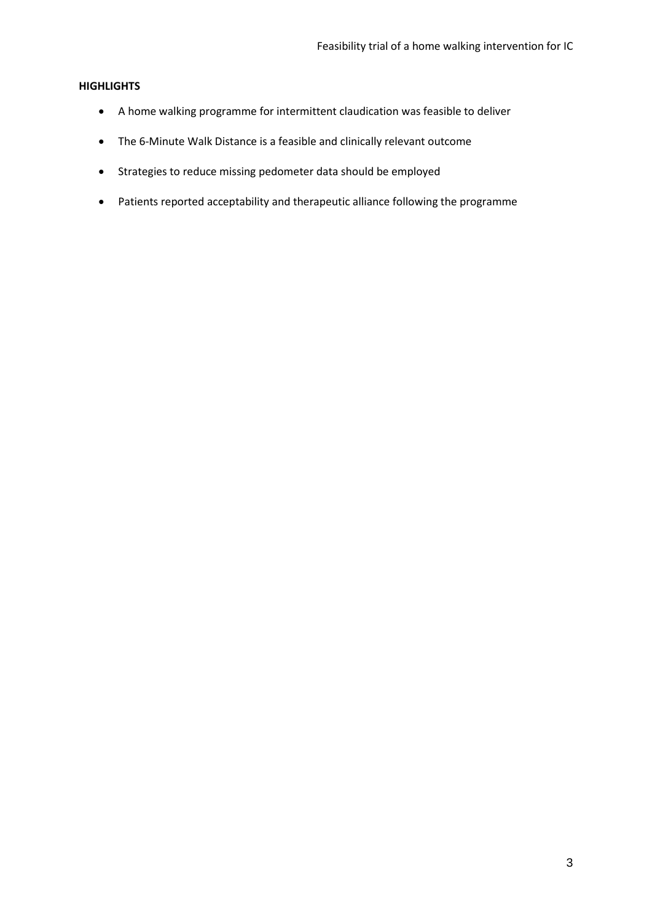## **HIGHLIGHTS**

- A home walking programme for intermittent claudication was feasible to deliver
- The 6-Minute Walk Distance is a feasible and clinically relevant outcome
- Strategies to reduce missing pedometer data should be employed
- Patients reported acceptability and therapeutic alliance following the programme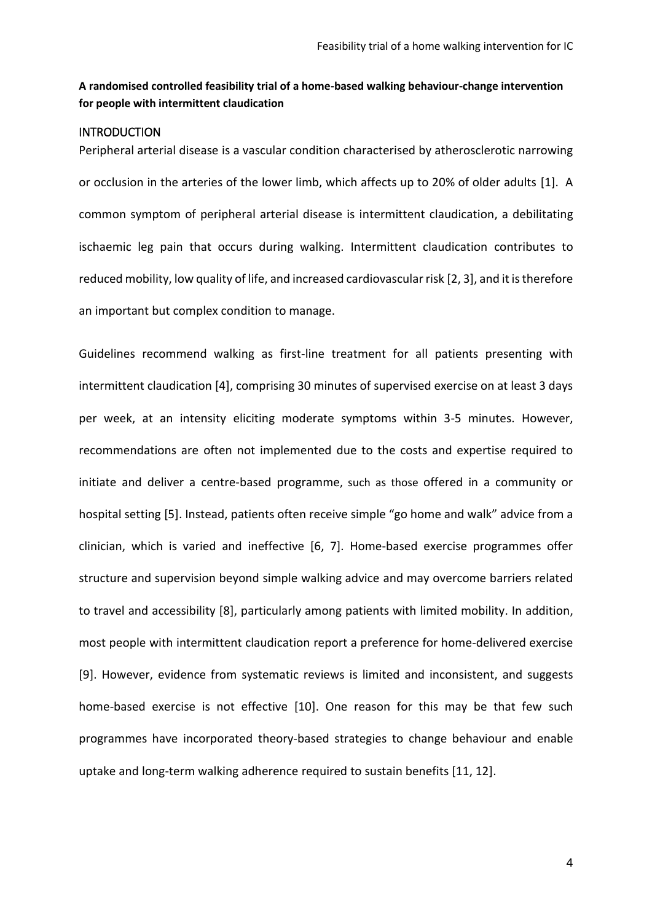# **A randomised controlled feasibility trial of a home-based walking behaviour-change intervention for people with intermittent claudication**

## INTRODUCTION

Peripheral arterial disease is a vascular condition characterised by atherosclerotic narrowing or occlusion in the arteries of the lower limb, which affects up to 20% of older adults [1]. A common symptom of peripheral arterial disease is intermittent claudication, a debilitating ischaemic leg pain that occurs during walking. Intermittent claudication contributes to reduced mobility, low quality of life, and increased cardiovascular risk [2, 3], and it is therefore an important but complex condition to manage.

Guidelines recommend walking as first-line treatment for all patients presenting with intermittent claudication [4], comprising 30 minutes of supervised exercise on at least 3 days per week, at an intensity eliciting moderate symptoms within 3-5 minutes. However, recommendations are often not implemented due to the costs and expertise required to initiate and deliver a centre-based programme, such as those offered in a community or hospital setting [5]. Instead, patients often receive simple "go home and walk" advice from a clinician, which is varied and ineffective [6, 7]. Home-based exercise programmes offer structure and supervision beyond simple walking advice and may overcome barriers related to travel and accessibility [8], particularly among patients with limited mobility. In addition, most people with intermittent claudication report a preference for home-delivered exercise [9]. However, evidence from systematic reviews is limited and inconsistent, and suggests home-based exercise is not effective [10]. One reason for this may be that few such programmes have incorporated theory-based strategies to change behaviour and enable uptake and long-term walking adherence required to sustain benefits [11, 12].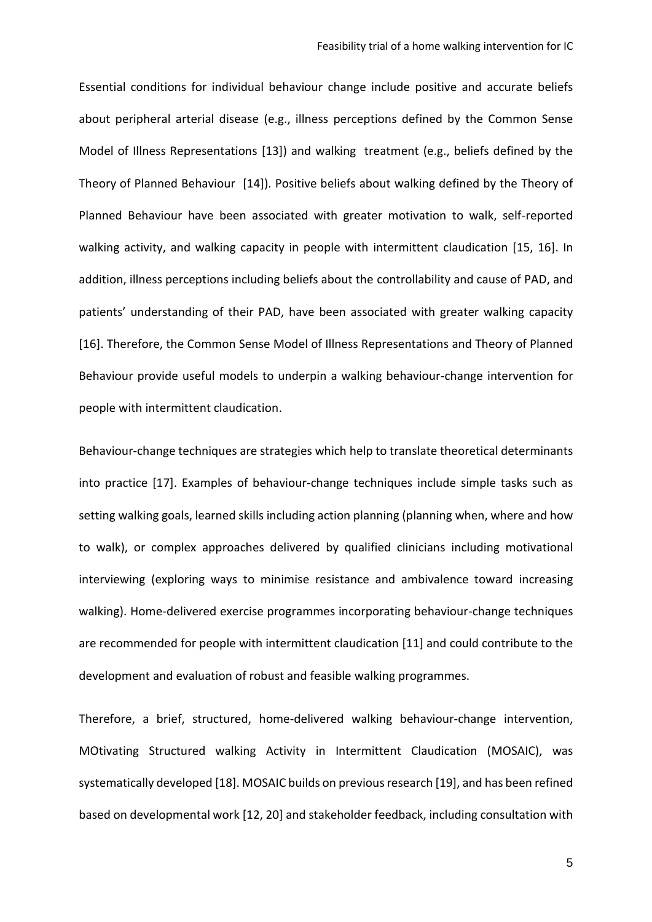Essential conditions for individual behaviour change include positive and accurate beliefs about peripheral arterial disease (e.g., illness perceptions defined by the Common Sense Model of Illness Representations [13]) and walking treatment (e.g., beliefs defined by the Theory of Planned Behaviour [14]). Positive beliefs about walking defined by the Theory of Planned Behaviour have been associated with greater motivation to walk, self-reported walking activity, and walking capacity in people with intermittent claudication [15, 16]. In addition, illness perceptions including beliefs about the controllability and cause of PAD, and patients' understanding of their PAD, have been associated with greater walking capacity [16]. Therefore, the Common Sense Model of Illness Representations and Theory of Planned Behaviour provide useful models to underpin a walking behaviour-change intervention for people with intermittent claudication.

Behaviour-change techniques are strategies which help to translate theoretical determinants into practice [17]. Examples of behaviour-change techniques include simple tasks such as setting walking goals, learned skills including action planning (planning when, where and how to walk), or complex approaches delivered by qualified clinicians including motivational interviewing (exploring ways to minimise resistance and ambivalence toward increasing walking). Home-delivered exercise programmes incorporating behaviour-change techniques are recommended for people with intermittent claudication [11] and could contribute to the development and evaluation of robust and feasible walking programmes.

Therefore, a brief, structured, home-delivered walking behaviour-change intervention, MOtivating Structured walking Activity in Intermittent Claudication (MOSAIC), was systematically developed [18]. MOSAIC builds on previous research [19], and has been refined based on developmental work [12, 20] and stakeholder feedback, including consultation with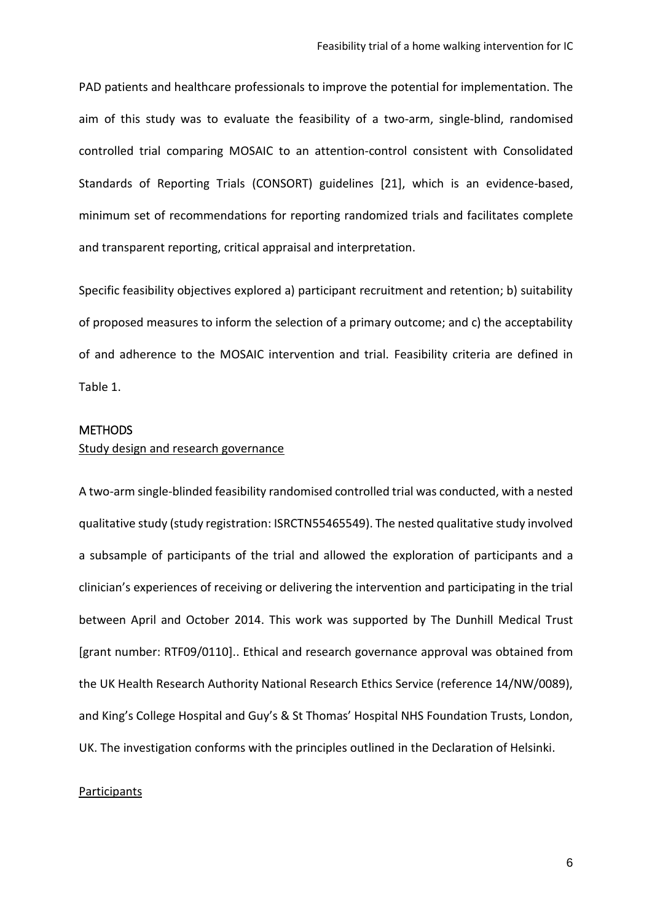PAD patients and healthcare professionals to improve the potential for implementation. The aim of this study was to evaluate the feasibility of a two-arm, single-blind, randomised controlled trial comparing MOSAIC to an attention-control consistent with Consolidated Standards of Reporting Trials (CONSORT) guidelines [21], which is an evidence-based, minimum set of recommendations for reporting randomized trials and facilitates complete and transparent reporting, critical appraisal and interpretation.

Specific feasibility objectives explored a) participant recruitment and retention; b) suitability of proposed measures to inform the selection of a primary outcome; and c) the acceptability of and adherence to the MOSAIC intervention and trial. Feasibility criteria are defined in Table 1.

## **METHODS**

## Study design and research governance

A two-arm single-blinded feasibility randomised controlled trial was conducted, with a nested qualitative study (study registration: ISRCTN55465549). The nested qualitative study involved a subsample of participants of the trial and allowed the exploration of participants and a clinician's experiences of receiving or delivering the intervention and participating in the trial between April and October 2014. This work was supported by The Dunhill Medical Trust [grant number: RTF09/0110].. Ethical and research governance approval was obtained from the UK Health Research Authority National Research Ethics Service (reference 14/NW/0089), and King's College Hospital and Guy's & St Thomas' Hospital NHS Foundation Trusts, London, UK. The investigation conforms with the principles outlined in the Declaration of Helsinki.

## Participants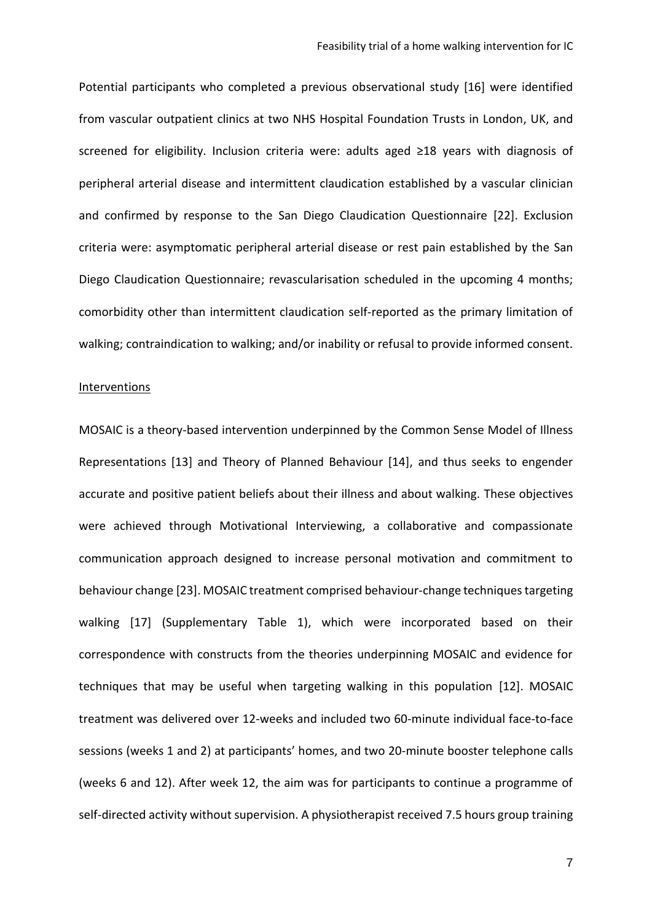Potential participants who completed a previous observational study [16] were identified from vascular outpatient clinics at two NHS Hospital Foundation Trusts in London, UK, and screened for eligibility. Inclusion criteria were: adults aged ≥18 years with diagnosis of peripheral arterial disease and intermittent claudication established by a vascular clinician and confirmed by response to the San Diego Claudication Questionnaire [22]. Exclusion criteria were: asymptomatic peripheral arterial disease or rest pain established by the San Diego Claudication Questionnaire; revascularisation scheduled in the upcoming 4 months; comorbidity other than intermittent claudication self-reported as the primary limitation of walking; contraindication to walking; and/or inability or refusal to provide informed consent.

#### **Interventions**

MOSAIC is a theory-based intervention underpinned by the Common Sense Model of Illness Representations [13] and Theory of Planned Behaviour [14], and thus seeks to engender accurate and positive patient beliefs about their illness and about walking. These objectives were achieved through Motivational Interviewing, a collaborative and compassionate communication approach designed to increase personal motivation and commitment to behaviour change [23]. MOSAIC treatment comprised behaviour-change techniquestargeting walking [17] (Supplementary Table 1), which were incorporated based on their correspondence with constructs from the theories underpinning MOSAIC and evidence for techniques that may be useful when targeting walking in this population [12]. MOSAIC treatment was delivered over 12-weeks and included two 60-minute individual face-to-face sessions (weeks 1 and 2) at participants' homes, and two 20-minute booster telephone calls (weeks 6 and 12). After week 12, the aim was for participants to continue a programme of self-directed activity without supervision. A physiotherapist received 7.5 hours group training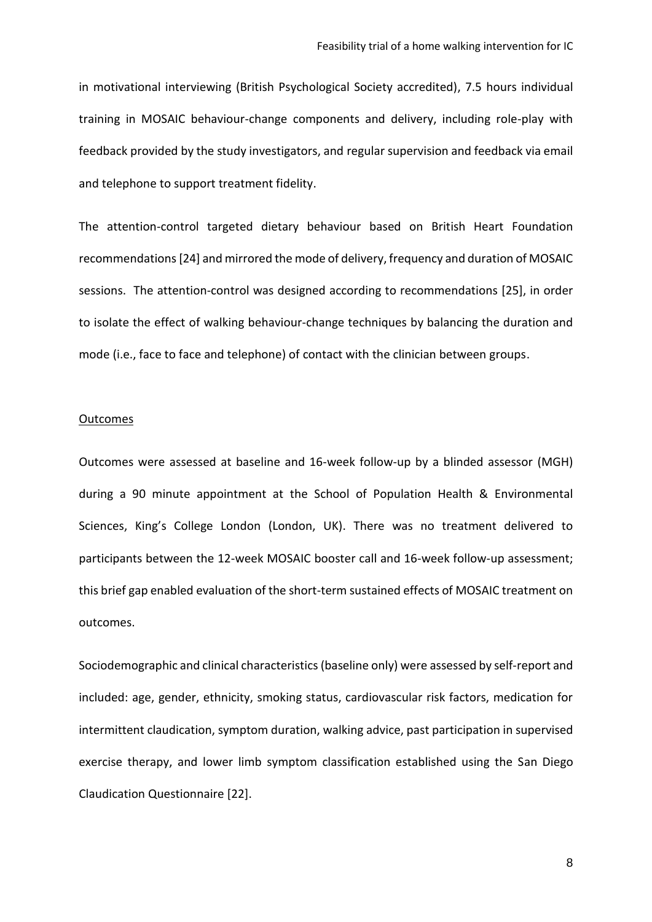in motivational interviewing (British Psychological Society accredited), 7.5 hours individual training in MOSAIC behaviour-change components and delivery, including role-play with feedback provided by the study investigators, and regular supervision and feedback via email and telephone to support treatment fidelity.

The attention-control targeted dietary behaviour based on British Heart Foundation recommendations[24] and mirrored the mode of delivery, frequency and duration of MOSAIC sessions. The attention-control was designed according to recommendations [25], in order to isolate the effect of walking behaviour-change techniques by balancing the duration and mode (i.e., face to face and telephone) of contact with the clinician between groups.

#### **Outcomes**

Outcomes were assessed at baseline and 16-week follow-up by a blinded assessor (MGH) during a 90 minute appointment at the School of Population Health & Environmental Sciences, King's College London (London, UK). There was no treatment delivered to participants between the 12-week MOSAIC booster call and 16-week follow-up assessment; this brief gap enabled evaluation of the short-term sustained effects of MOSAIC treatment on outcomes.

Sociodemographic and clinical characteristics(baseline only) were assessed by self-report and included: age, gender, ethnicity, smoking status, cardiovascular risk factors, medication for intermittent claudication, symptom duration, walking advice, past participation in supervised exercise therapy, and lower limb symptom classification established using the San Diego Claudication Questionnaire [22].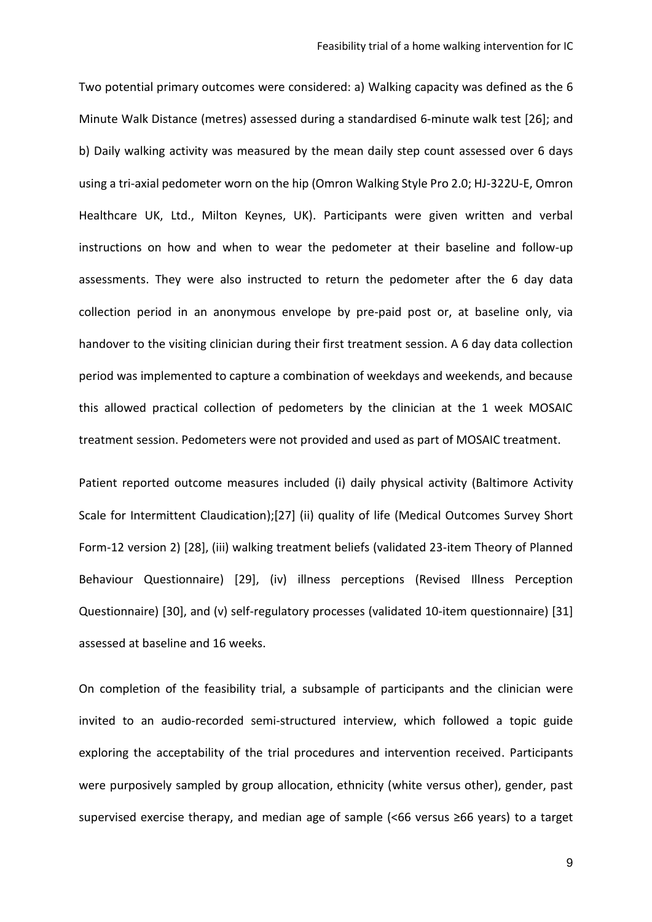Two potential primary outcomes were considered: a) Walking capacity was defined as the 6 Minute Walk Distance (metres) assessed during a standardised 6-minute walk test [26]; and b) Daily walking activity was measured by the mean daily step count assessed over 6 days using a tri-axial pedometer worn on the hip (Omron Walking Style Pro 2.0; HJ-322U-E, Omron Healthcare UK, Ltd., Milton Keynes, UK). Participants were given written and verbal instructions on how and when to wear the pedometer at their baseline and follow-up assessments. They were also instructed to return the pedometer after the 6 day data collection period in an anonymous envelope by pre-paid post or, at baseline only, via handover to the visiting clinician during their first treatment session. A 6 day data collection period was implemented to capture a combination of weekdays and weekends, and because this allowed practical collection of pedometers by the clinician at the 1 week MOSAIC treatment session. Pedometers were not provided and used as part of MOSAIC treatment.

Patient reported outcome measures included (i) daily physical activity (Baltimore Activity Scale for Intermittent Claudication);[27] (ii) quality of life (Medical Outcomes Survey Short Form-12 version 2) [28], (iii) walking treatment beliefs (validated 23-item Theory of Planned Behaviour Questionnaire) [29], (iv) illness perceptions (Revised Illness Perception Questionnaire) [30], and (v) self-regulatory processes (validated 10-item questionnaire) [31] assessed at baseline and 16 weeks.

On completion of the feasibility trial, a subsample of participants and the clinician were invited to an audio-recorded semi-structured interview, which followed a topic guide exploring the acceptability of the trial procedures and intervention received. Participants were purposively sampled by group allocation, ethnicity (white versus other), gender, past supervised exercise therapy, and median age of sample (<66 versus ≥66 years) to a target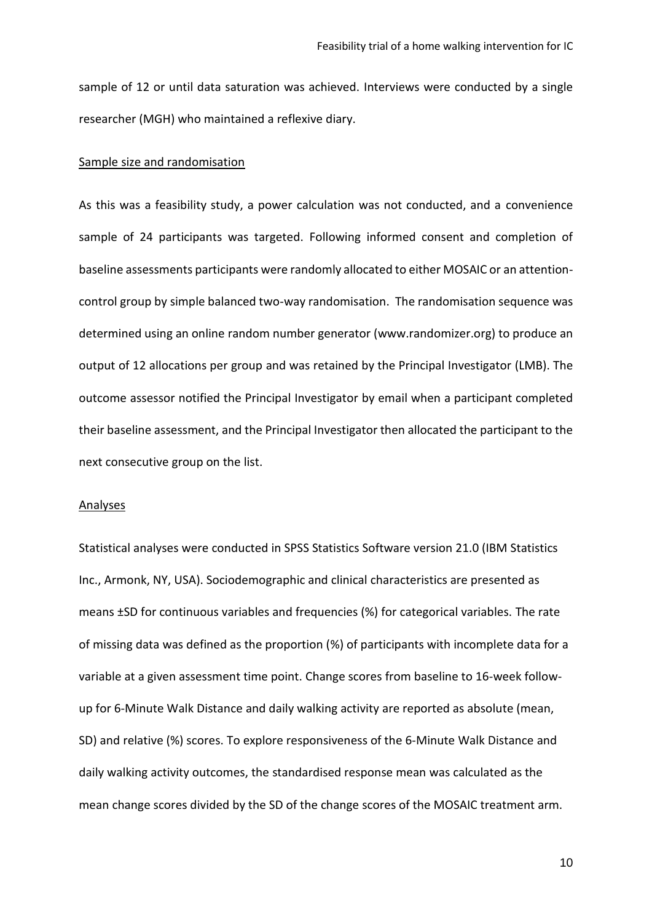sample of 12 or until data saturation was achieved. Interviews were conducted by a single researcher (MGH) who maintained a reflexive diary.

### Sample size and randomisation

As this was a feasibility study, a power calculation was not conducted, and a convenience sample of 24 participants was targeted. Following informed consent and completion of baseline assessments participants were randomly allocated to either MOSAIC or an attentioncontrol group by simple balanced two-way randomisation. The randomisation sequence was determined using an online random number generator (www.randomizer.org) to produce an output of 12 allocations per group and was retained by the Principal Investigator (LMB). The outcome assessor notified the Principal Investigator by email when a participant completed their baseline assessment, and the Principal Investigator then allocated the participant to the next consecutive group on the list.

#### **Analyses**

Statistical analyses were conducted in SPSS Statistics Software version 21.0 (IBM Statistics Inc., Armonk, NY, USA). Sociodemographic and clinical characteristics are presented as means ±SD for continuous variables and frequencies (%) for categorical variables. The rate of missing data was defined as the proportion (%) of participants with incomplete data for a variable at a given assessment time point. Change scores from baseline to 16-week followup for 6-Minute Walk Distance and daily walking activity are reported as absolute (mean, SD) and relative (%) scores. To explore responsiveness of the 6-Minute Walk Distance and daily walking activity outcomes, the standardised response mean was calculated as the mean change scores divided by the SD of the change scores of the MOSAIC treatment arm.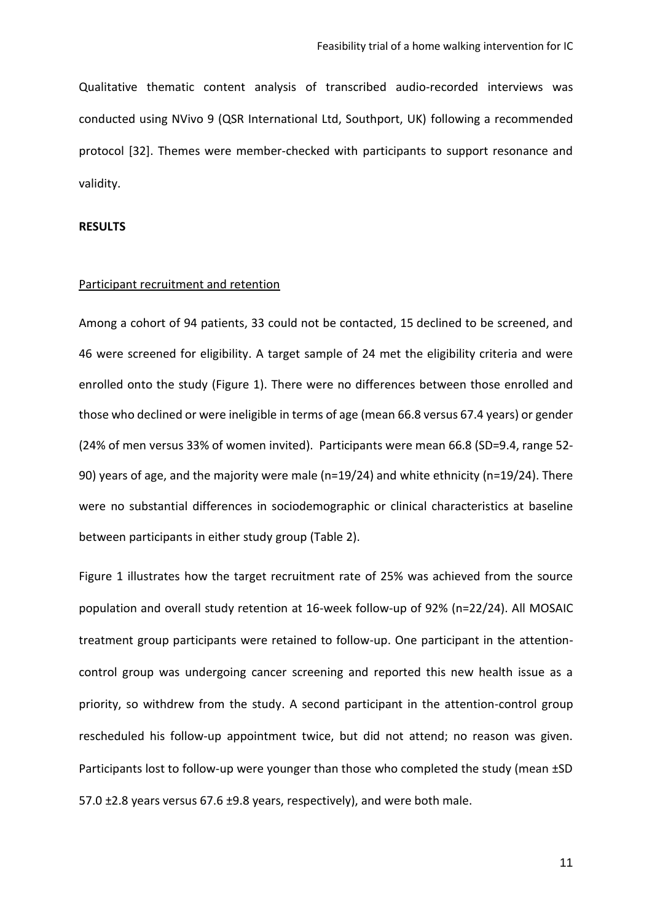Qualitative thematic content analysis of transcribed audio-recorded interviews was conducted using NVivo 9 (QSR International Ltd, Southport, UK) following a recommended protocol [32]. Themes were member-checked with participants to support resonance and validity.

### **RESULTS**

### Participant recruitment and retention

Among a cohort of 94 patients, 33 could not be contacted, 15 declined to be screened, and 46 were screened for eligibility. A target sample of 24 met the eligibility criteria and were enrolled onto the study (Figure 1). There were no differences between those enrolled and those who declined or were ineligible in terms of age (mean 66.8 versus 67.4 years) or gender (24% of men versus 33% of women invited). Participants were mean 66.8 (SD=9.4, range 52- 90) years of age, and the majority were male (n=19/24) and white ethnicity (n=19/24). There were no substantial differences in sociodemographic or clinical characteristics at baseline between participants in either study group (Table 2).

Figure 1 illustrates how the target recruitment rate of 25% was achieved from the source population and overall study retention at 16-week follow-up of 92% (n=22/24). All MOSAIC treatment group participants were retained to follow-up. One participant in the attentioncontrol group was undergoing cancer screening and reported this new health issue as a priority, so withdrew from the study. A second participant in the attention-control group rescheduled his follow-up appointment twice, but did not attend; no reason was given. Participants lost to follow-up were younger than those who completed the study (mean ±SD 57.0 ±2.8 years versus 67.6 ±9.8 years, respectively), and were both male.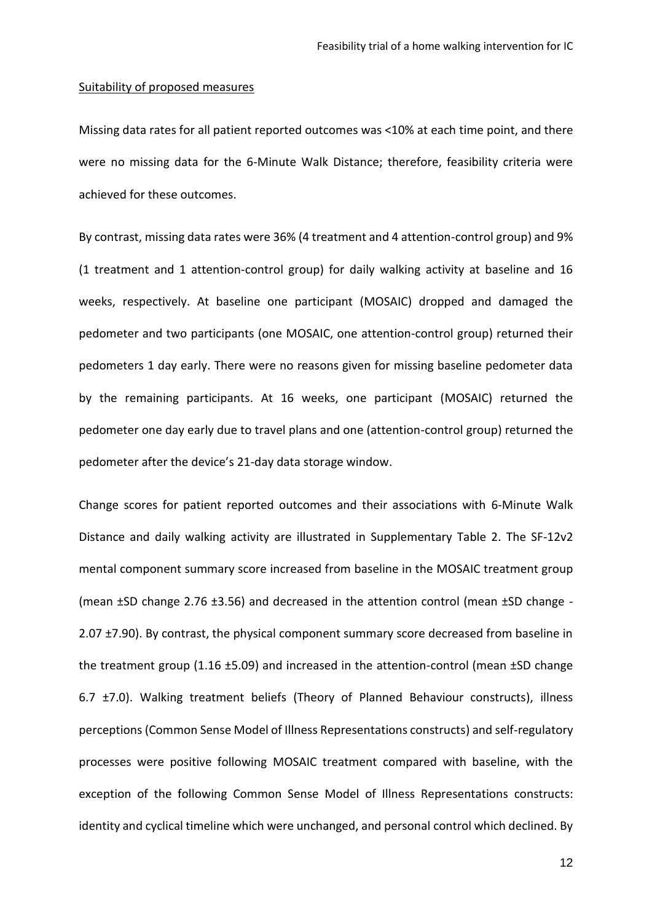#### Suitability of proposed measures

Missing data rates for all patient reported outcomes was <10% at each time point, and there were no missing data for the 6-Minute Walk Distance; therefore, feasibility criteria were achieved for these outcomes.

By contrast, missing data rates were 36% (4 treatment and 4 attention-control group) and 9% (1 treatment and 1 attention-control group) for daily walking activity at baseline and 16 weeks, respectively. At baseline one participant (MOSAIC) dropped and damaged the pedometer and two participants (one MOSAIC, one attention-control group) returned their pedometers 1 day early. There were no reasons given for missing baseline pedometer data by the remaining participants. At 16 weeks, one participant (MOSAIC) returned the pedometer one day early due to travel plans and one (attention-control group) returned the pedometer after the device's 21-day data storage window.

Change scores for patient reported outcomes and their associations with 6-Minute Walk Distance and daily walking activity are illustrated in Supplementary Table 2. The SF-12v2 mental component summary score increased from baseline in the MOSAIC treatment group (mean ±SD change 2.76 ±3.56) and decreased in the attention control (mean ±SD change - 2.07 ±7.90). By contrast, the physical component summary score decreased from baseline in the treatment group (1.16 ±5.09) and increased in the attention-control (mean ±SD change 6.7 ±7.0). Walking treatment beliefs (Theory of Planned Behaviour constructs), illness perceptions (Common Sense Model of Illness Representations constructs) and self-regulatory processes were positive following MOSAIC treatment compared with baseline, with the exception of the following Common Sense Model of Illness Representations constructs: identity and cyclical timeline which were unchanged, and personal control which declined. By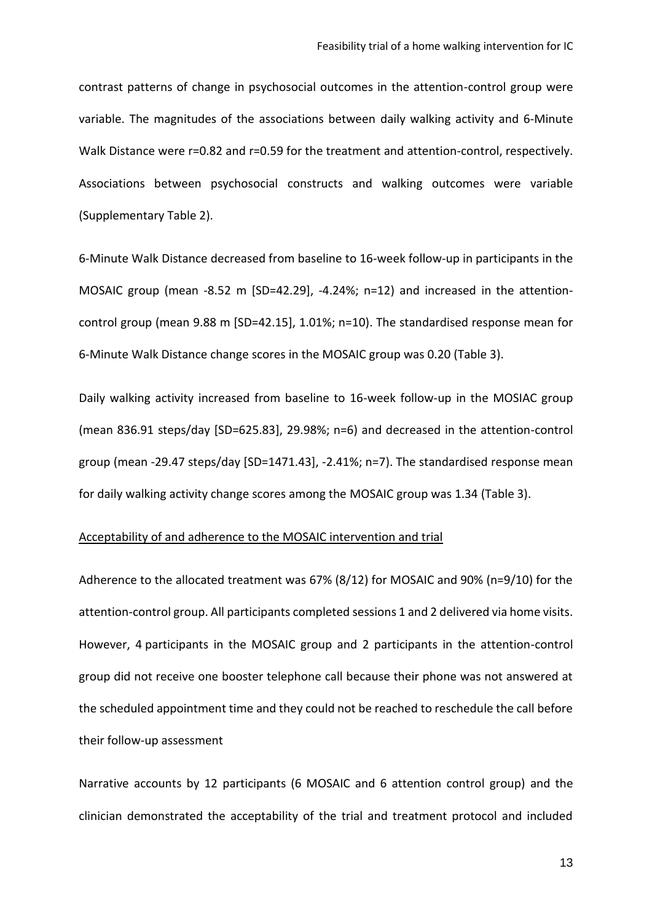contrast patterns of change in psychosocial outcomes in the attention-control group were variable. The magnitudes of the associations between daily walking activity and 6-Minute Walk Distance were r=0.82 and r=0.59 for the treatment and attention-control, respectively. Associations between psychosocial constructs and walking outcomes were variable (Supplementary Table 2).

6-Minute Walk Distance decreased from baseline to 16-week follow-up in participants in the MOSAIC group (mean -8.52 m [SD=42.29], -4.24%; n=12) and increased in the attentioncontrol group (mean 9.88 m [SD=42.15], 1.01%; n=10). The standardised response mean for 6-Minute Walk Distance change scores in the MOSAIC group was 0.20 (Table 3).

Daily walking activity increased from baseline to 16-week follow-up in the MOSIAC group (mean 836.91 steps/day [SD=625.83], 29.98%; n=6) and decreased in the attention-control group (mean -29.47 steps/day [SD=1471.43], -2.41%; n=7). The standardised response mean for daily walking activity change scores among the MOSAIC group was 1.34 (Table 3).

### Acceptability of and adherence to the MOSAIC intervention and trial

Adherence to the allocated treatment was 67% (8/12) for MOSAIC and 90% (n=9/10) for the attention-control group. All participants completed sessions 1 and 2 delivered via home visits. However, 4 participants in the MOSAIC group and 2 participants in the attention-control group did not receive one booster telephone call because their phone was not answered at the scheduled appointment time and they could not be reached to reschedule the call before their follow-up assessment

Narrative accounts by 12 participants (6 MOSAIC and 6 attention control group) and the clinician demonstrated the acceptability of the trial and treatment protocol and included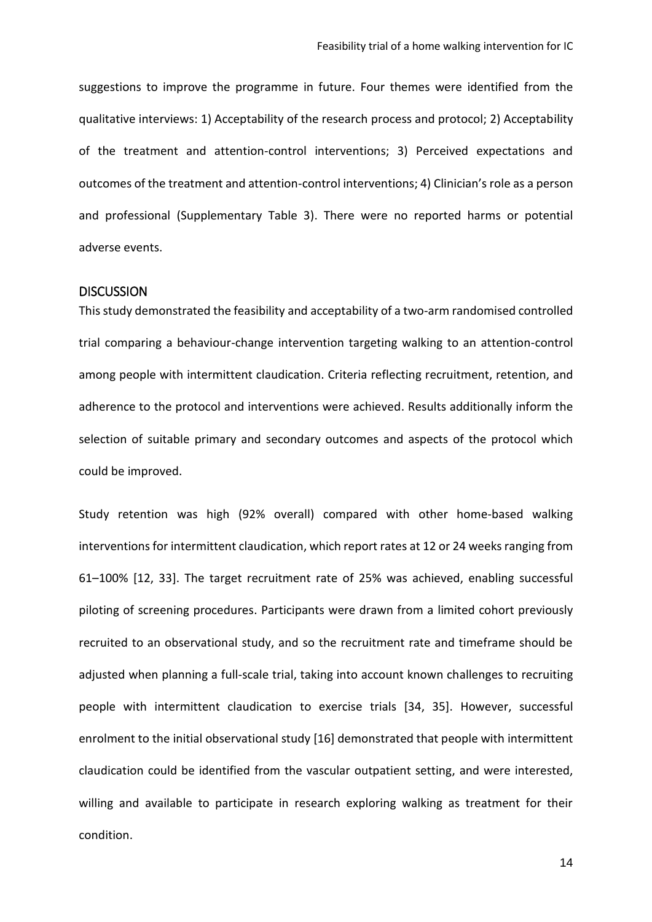suggestions to improve the programme in future. Four themes were identified from the qualitative interviews: 1) Acceptability of the research process and protocol; 2) Acceptability of the treatment and attention-control interventions; 3) Perceived expectations and outcomes of the treatment and attention-control interventions; 4) Clinician's role as a person and professional (Supplementary Table 3). There were no reported harms or potential adverse events.

### **DISCUSSION**

This study demonstrated the feasibility and acceptability of a two-arm randomised controlled trial comparing a behaviour-change intervention targeting walking to an attention-control among people with intermittent claudication. Criteria reflecting recruitment, retention, and adherence to the protocol and interventions were achieved. Results additionally inform the selection of suitable primary and secondary outcomes and aspects of the protocol which could be improved.

Study retention was high (92% overall) compared with other home-based walking interventions for intermittent claudication, which report rates at 12 or 24 weeks ranging from 61–100% [12, 33]. The target recruitment rate of 25% was achieved, enabling successful piloting of screening procedures. Participants were drawn from a limited cohort previously recruited to an observational study, and so the recruitment rate and timeframe should be adjusted when planning a full-scale trial, taking into account known challenges to recruiting people with intermittent claudication to exercise trials [34, 35]. However, successful enrolment to the initial observational study [16] demonstrated that people with intermittent claudication could be identified from the vascular outpatient setting, and were interested, willing and available to participate in research exploring walking as treatment for their condition.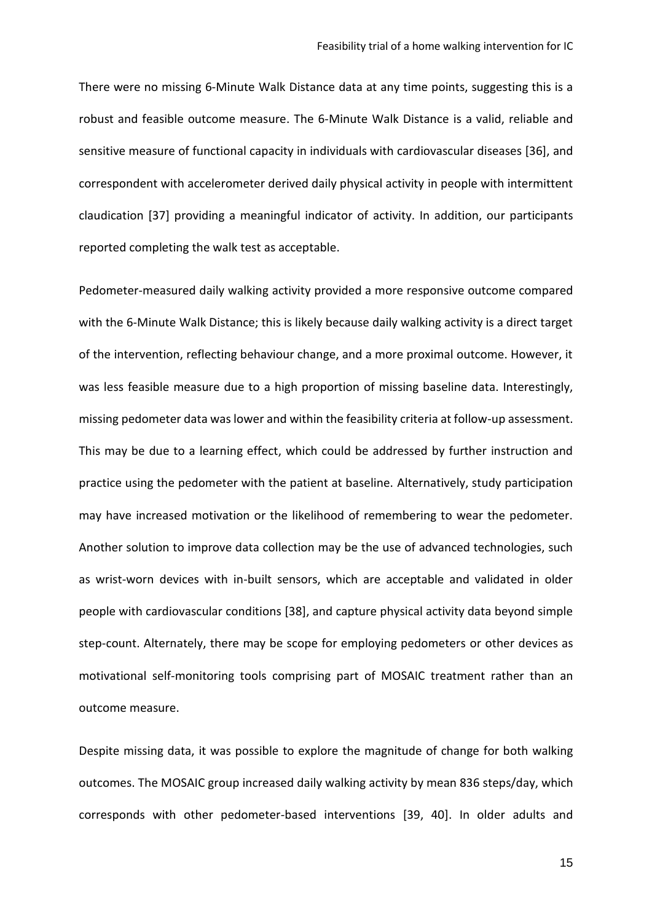There were no missing 6-Minute Walk Distance data at any time points, suggesting this is a robust and feasible outcome measure. The 6-Minute Walk Distance is a valid, reliable and sensitive measure of functional capacity in individuals with cardiovascular diseases [36], and correspondent with accelerometer derived daily physical activity in people with intermittent claudication [37] providing a meaningful indicator of activity. In addition, our participants reported completing the walk test as acceptable.

Pedometer-measured daily walking activity provided a more responsive outcome compared with the 6-Minute Walk Distance; this is likely because daily walking activity is a direct target of the intervention, reflecting behaviour change, and a more proximal outcome. However, it was less feasible measure due to a high proportion of missing baseline data. Interestingly, missing pedometer data was lower and within the feasibility criteria at follow-up assessment. This may be due to a learning effect, which could be addressed by further instruction and practice using the pedometer with the patient at baseline. Alternatively, study participation may have increased motivation or the likelihood of remembering to wear the pedometer. Another solution to improve data collection may be the use of advanced technologies, such as wrist-worn devices with in-built sensors, which are acceptable and validated in older people with cardiovascular conditions [38], and capture physical activity data beyond simple step-count. Alternately, there may be scope for employing pedometers or other devices as motivational self-monitoring tools comprising part of MOSAIC treatment rather than an outcome measure.

Despite missing data, it was possible to explore the magnitude of change for both walking outcomes. The MOSAIC group increased daily walking activity by mean 836 steps/day, which corresponds with other pedometer-based interventions [39, 40]. In older adults and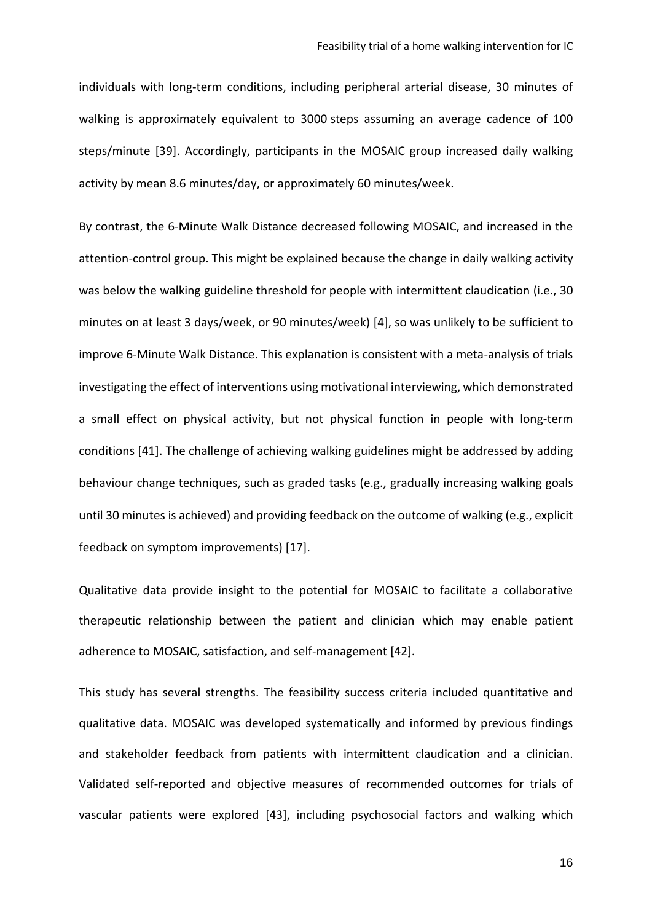individuals with long-term conditions, including peripheral arterial disease, 30 minutes of walking is approximately equivalent to 3000 steps assuming an average cadence of 100 steps/minute [39]. Accordingly, participants in the MOSAIC group increased daily walking activity by mean 8.6 minutes/day, or approximately 60 minutes/week.

By contrast, the 6-Minute Walk Distance decreased following MOSAIC, and increased in the attention-control group. This might be explained because the change in daily walking activity was below the walking guideline threshold for people with intermittent claudication (i.e., 30 minutes on at least 3 days/week, or 90 minutes/week) [4], so was unlikely to be sufficient to improve 6-Minute Walk Distance. This explanation is consistent with a meta-analysis of trials investigating the effect of interventions using motivational interviewing, which demonstrated a small effect on physical activity, but not physical function in people with long-term conditions [41]. The challenge of achieving walking guidelines might be addressed by adding behaviour change techniques, such as graded tasks (e.g., gradually increasing walking goals until 30 minutes is achieved) and providing feedback on the outcome of walking (e.g., explicit feedback on symptom improvements) [17].

Qualitative data provide insight to the potential for MOSAIC to facilitate a collaborative therapeutic relationship between the patient and clinician which may enable patient adherence to MOSAIC, satisfaction, and self-management [42].

This study has several strengths. The feasibility success criteria included quantitative and qualitative data. MOSAIC was developed systematically and informed by previous findings and stakeholder feedback from patients with intermittent claudication and a clinician. Validated self-reported and objective measures of recommended outcomes for trials of vascular patients were explored [43], including psychosocial factors and walking which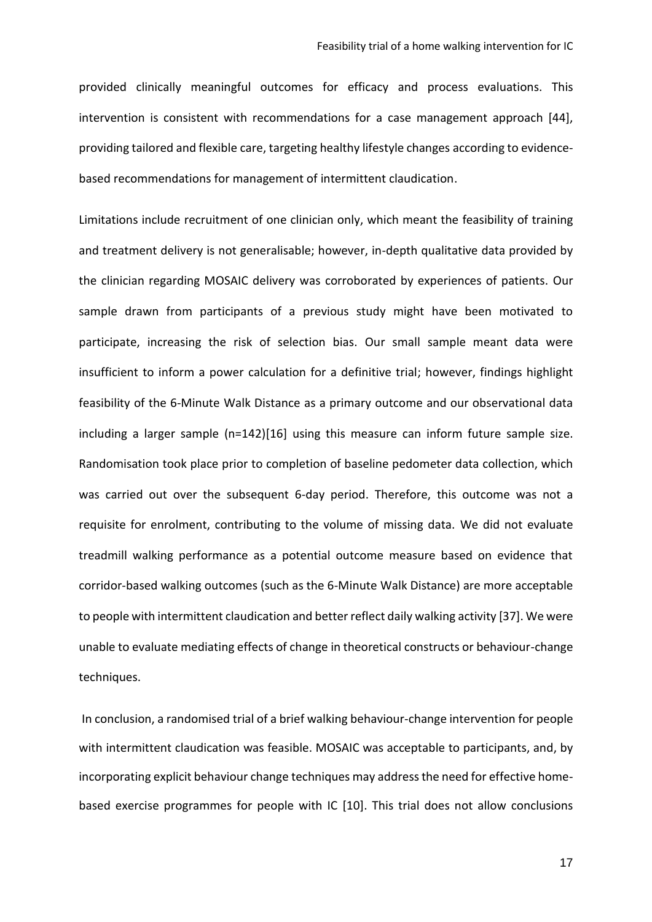provided clinically meaningful outcomes for efficacy and process evaluations. This intervention is consistent with recommendations for a case management approach [44], providing tailored and flexible care, targeting healthy lifestyle changes according to evidencebased recommendations for management of intermittent claudication.

Limitations include recruitment of one clinician only, which meant the feasibility of training and treatment delivery is not generalisable; however, in-depth qualitative data provided by the clinician regarding MOSAIC delivery was corroborated by experiences of patients. Our sample drawn from participants of a previous study might have been motivated to participate, increasing the risk of selection bias. Our small sample meant data were insufficient to inform a power calculation for a definitive trial; however, findings highlight feasibility of the 6-Minute Walk Distance as a primary outcome and our observational data including a larger sample (n=142)[16] using this measure can inform future sample size. Randomisation took place prior to completion of baseline pedometer data collection, which was carried out over the subsequent 6-day period. Therefore, this outcome was not a requisite for enrolment, contributing to the volume of missing data. We did not evaluate treadmill walking performance as a potential outcome measure based on evidence that corridor-based walking outcomes (such as the 6-Minute Walk Distance) are more acceptable to people with intermittent claudication and better reflect daily walking activity [37]. We were unable to evaluate mediating effects of change in theoretical constructs or behaviour-change techniques.

In conclusion, a randomised trial of a brief walking behaviour-change intervention for people with intermittent claudication was feasible. MOSAIC was acceptable to participants, and, by incorporating explicit behaviour change techniques may address the need for effective homebased exercise programmes for people with IC [10]. This trial does not allow conclusions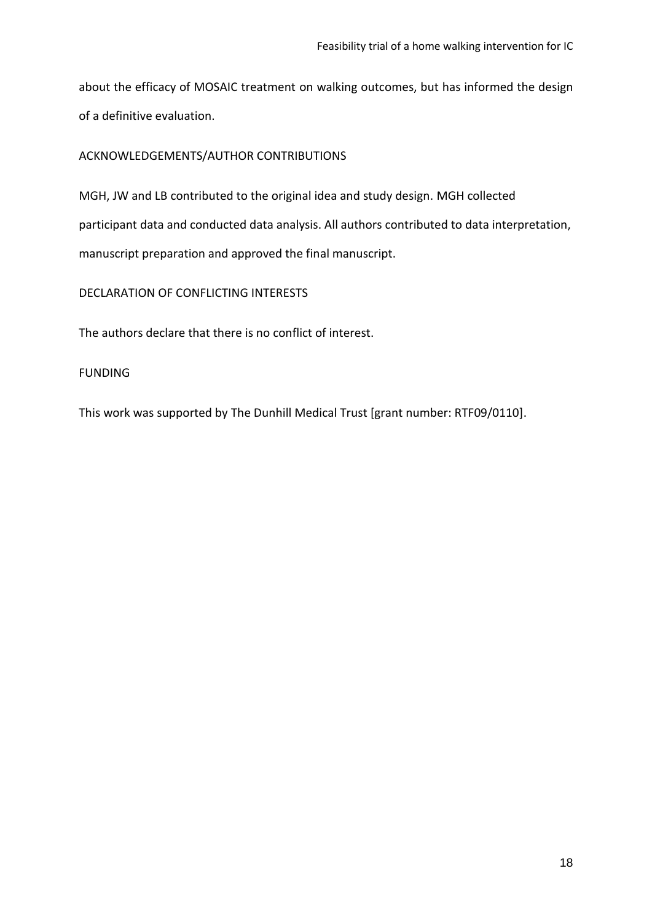about the efficacy of MOSAIC treatment on walking outcomes, but has informed the design of a definitive evaluation.

# ACKNOWLEDGEMENTS/AUTHOR CONTRIBUTIONS

MGH, JW and LB contributed to the original idea and study design. MGH collected participant data and conducted data analysis. All authors contributed to data interpretation, manuscript preparation and approved the final manuscript.

DECLARATION OF CONFLICTING INTERESTS

The authors declare that there is no conflict of interest.

# FUNDING

This work was supported by The Dunhill Medical Trust [grant number: RTF09/0110].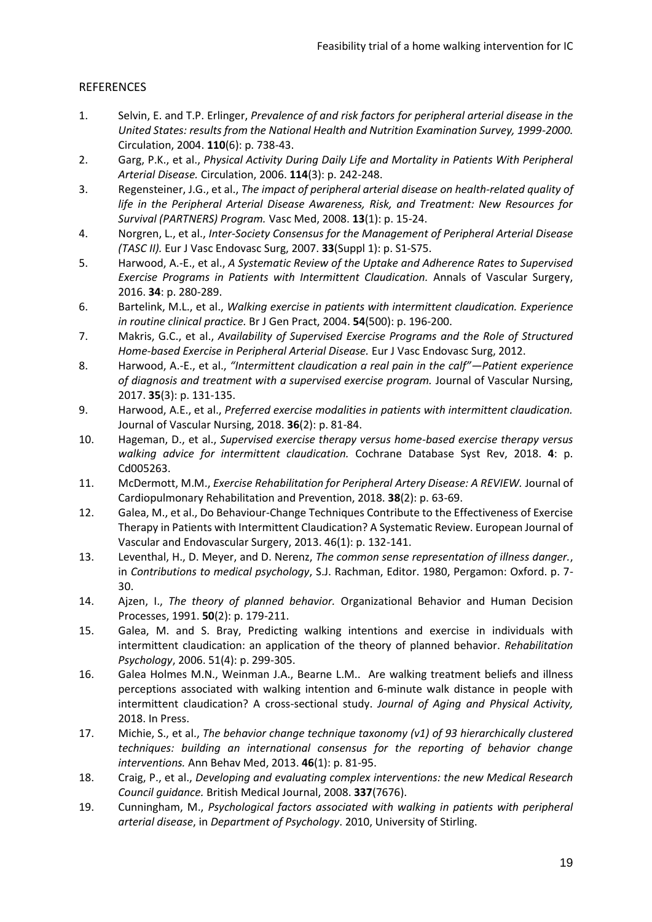## **REFERENCES**

- 1. Selvin, E. and T.P. Erlinger, *Prevalence of and risk factors for peripheral arterial disease in the United States: results from the National Health and Nutrition Examination Survey, 1999-2000.* Circulation, 2004. **110**(6): p. 738-43.
- 2. Garg, P.K., et al., *Physical Activity During Daily Life and Mortality in Patients With Peripheral Arterial Disease.* Circulation, 2006. **114**(3): p. 242-248.
- 3. Regensteiner, J.G., et al., *The impact of peripheral arterial disease on health-related quality of life in the Peripheral Arterial Disease Awareness, Risk, and Treatment: New Resources for Survival (PARTNERS) Program.* Vasc Med, 2008. **13**(1): p. 15-24.
- 4. Norgren, L., et al., *Inter-Society Consensus for the Management of Peripheral Arterial Disease (TASC II).* Eur J Vasc Endovasc Surg, 2007. **33**(Suppl 1): p. S1-S75.
- 5. Harwood, A.-E., et al., *A Systematic Review of the Uptake and Adherence Rates to Supervised Exercise Programs in Patients with Intermittent Claudication.* Annals of Vascular Surgery, 2016. **34**: p. 280-289.
- 6. Bartelink, M.L., et al., *Walking exercise in patients with intermittent claudication. Experience in routine clinical practice.* Br J Gen Pract, 2004. **54**(500): p. 196-200.
- 7. Makris, G.C., et al., *Availability of Supervised Exercise Programs and the Role of Structured Home-based Exercise in Peripheral Arterial Disease.* Eur J Vasc Endovasc Surg, 2012.
- 8. Harwood, A.-E., et al., *"Intermittent claudication a real pain in the calf"—Patient experience of diagnosis and treatment with a supervised exercise program.* Journal of Vascular Nursing, 2017. **35**(3): p. 131-135.
- 9. Harwood, A.E., et al., *Preferred exercise modalities in patients with intermittent claudication.* Journal of Vascular Nursing, 2018. **36**(2): p. 81-84.
- 10. Hageman, D., et al., *Supervised exercise therapy versus home-based exercise therapy versus walking advice for intermittent claudication.* Cochrane Database Syst Rev, 2018. **4**: p. Cd005263.
- 11. McDermott, M.M., *Exercise Rehabilitation for Peripheral Artery Disease: A REVIEW.* Journal of Cardiopulmonary Rehabilitation and Prevention, 2018. **38**(2): p. 63-69.
- 12. Galea, M., et al., Do Behaviour-Change Techniques Contribute to the Effectiveness of Exercise Therapy in Patients with Intermittent Claudication? A Systematic Review. European Journal of Vascular and Endovascular Surgery, 2013. 46(1): p. 132-141.
- 13. Leventhal, H., D. Meyer, and D. Nerenz, *The common sense representation of illness danger.*, in *Contributions to medical psychology*, S.J. Rachman, Editor. 1980, Pergamon: Oxford. p. 7- 30.
- 14. Ajzen, I., *The theory of planned behavior.* Organizational Behavior and Human Decision Processes, 1991. **50**(2): p. 179-211.
- 15. Galea, M. and S. Bray, Predicting walking intentions and exercise in individuals with intermittent claudication: an application of the theory of planned behavior. *Rehabilitation Psychology*, 2006. 51(4): p. 299-305.
- 16. Galea Holmes M.N., Weinman J.A., Bearne L.M.. Are walking treatment beliefs and illness perceptions associated with walking intention and 6-minute walk distance in people with intermittent claudication? A cross-sectional study. *Journal of Aging and Physical Activity,* 2018. In Press.
- 17. Michie, S., et al., *The behavior change technique taxonomy (v1) of 93 hierarchically clustered techniques: building an international consensus for the reporting of behavior change interventions.* Ann Behav Med, 2013. **46**(1): p. 81-95.
- 18. Craig, P., et al., *Developing and evaluating complex interventions: the new Medical Research Council guidance.* British Medical Journal, 2008. **337**(7676).
- 19. Cunningham, M., *Psychological factors associated with walking in patients with peripheral arterial disease*, in *Department of Psychology*. 2010, University of Stirling.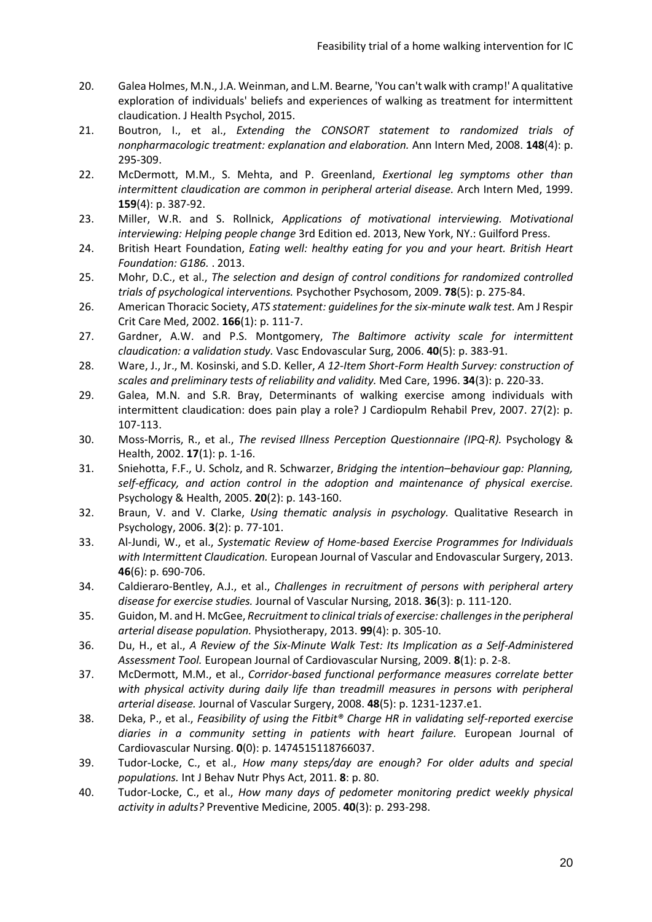- 20. Galea Holmes, M.N., J.A. Weinman, and L.M. Bearne, 'You can't walk with cramp!' A qualitative exploration of individuals' beliefs and experiences of walking as treatment for intermittent claudication. J Health Psychol, 2015.
- 21. Boutron, I., et al., *Extending the CONSORT statement to randomized trials of nonpharmacologic treatment: explanation and elaboration.* Ann Intern Med, 2008. **148**(4): p. 295-309.
- 22. McDermott, M.M., S. Mehta, and P. Greenland, *Exertional leg symptoms other than intermittent claudication are common in peripheral arterial disease.* Arch Intern Med, 1999. **159**(4): p. 387-92.
- 23. Miller, W.R. and S. Rollnick, *Applications of motivational interviewing. Motivational interviewing: Helping people change* 3rd Edition ed. 2013, New York, NY.: Guilford Press.
- 24. British Heart Foundation, *Eating well: healthy eating for you and your heart. British Heart Foundation: G186.* . 2013.
- 25. Mohr, D.C., et al., *The selection and design of control conditions for randomized controlled trials of psychological interventions.* Psychother Psychosom, 2009. **78**(5): p. 275-84.
- 26. American Thoracic Society, *ATS statement: guidelines for the six-minute walk test.* Am J Respir Crit Care Med, 2002. **166**(1): p. 111-7.
- 27. Gardner, A.W. and P.S. Montgomery, *The Baltimore activity scale for intermittent claudication: a validation study.* Vasc Endovascular Surg, 2006. **40**(5): p. 383-91.
- 28. Ware, J., Jr., M. Kosinski, and S.D. Keller, *A 12-Item Short-Form Health Survey: construction of scales and preliminary tests of reliability and validity.* Med Care, 1996. **34**(3): p. 220-33.
- 29. Galea, M.N. and S.R. Bray, Determinants of walking exercise among individuals with intermittent claudication: does pain play a role? J Cardiopulm Rehabil Prev, 2007. 27(2): p. 107-113.
- 30. Moss-Morris, R., et al., *The revised Illness Perception Questionnaire (IPQ-R).* Psychology & Health, 2002. **17**(1): p. 1-16.
- 31. Sniehotta, F.F., U. Scholz, and R. Schwarzer, *Bridging the intention–behaviour gap: Planning, self-efficacy, and action control in the adoption and maintenance of physical exercise.* Psychology & Health, 2005. **20**(2): p. 143-160.
- 32. Braun, V. and V. Clarke, *Using thematic analysis in psychology.* Qualitative Research in Psychology, 2006. **3**(2): p. 77-101.
- 33. Al-Jundi, W., et al., *Systematic Review of Home-based Exercise Programmes for Individuals with Intermittent Claudication.* European Journal of Vascular and Endovascular Surgery, 2013. **46**(6): p. 690-706.
- 34. Caldieraro-Bentley, A.J., et al., *Challenges in recruitment of persons with peripheral artery disease for exercise studies.* Journal of Vascular Nursing, 2018. **36**(3): p. 111-120.
- 35. Guidon, M. and H. McGee, *Recruitment to clinical trials of exercise: challenges in the peripheral arterial disease population.* Physiotherapy, 2013. **99**(4): p. 305-10.
- 36. Du, H., et al., *A Review of the Six-Minute Walk Test: Its Implication as a Self-Administered Assessment Tool.* European Journal of Cardiovascular Nursing, 2009. **8**(1): p. 2-8.
- 37. McDermott, M.M., et al., *Corridor-based functional performance measures correlate better*  with physical activity during daily life than treadmill measures in persons with peripheral *arterial disease.* Journal of Vascular Surgery, 2008. **48**(5): p. 1231-1237.e1.
- 38. Deka, P., et al., *Feasibility of using the Fitbit® Charge HR in validating self-reported exercise diaries in a community setting in patients with heart failure.* European Journal of Cardiovascular Nursing. **0**(0): p. 1474515118766037.
- 39. Tudor-Locke, C., et al., *How many steps/day are enough? For older adults and special populations.* Int J Behav Nutr Phys Act, 2011. **8**: p. 80.
- 40. Tudor-Locke, C., et al., *How many days of pedometer monitoring predict weekly physical activity in adults?* Preventive Medicine, 2005. **40**(3): p. 293-298.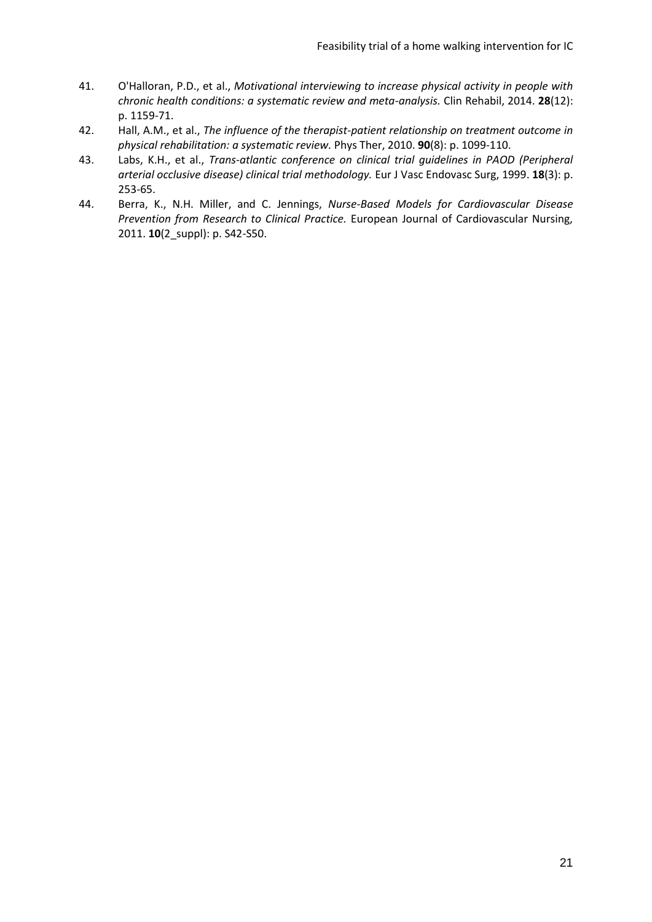- 41. O'Halloran, P.D., et al., *Motivational interviewing to increase physical activity in people with chronic health conditions: a systematic review and meta-analysis.* Clin Rehabil, 2014. **28**(12): p. 1159-71.
- 42. Hall, A.M., et al., *The influence of the therapist-patient relationship on treatment outcome in physical rehabilitation: a systematic review.* Phys Ther, 2010. **90**(8): p. 1099-110.
- 43. Labs, K.H., et al., *Trans-atlantic conference on clinical trial guidelines in PAOD (Peripheral arterial occlusive disease) clinical trial methodology.* Eur J Vasc Endovasc Surg, 1999. **18**(3): p. 253-65.
- 44. Berra, K., N.H. Miller, and C. Jennings, *Nurse-Based Models for Cardiovascular Disease Prevention from Research to Clinical Practice.* European Journal of Cardiovascular Nursing, 2011. **10**(2\_suppl): p. S42-S50.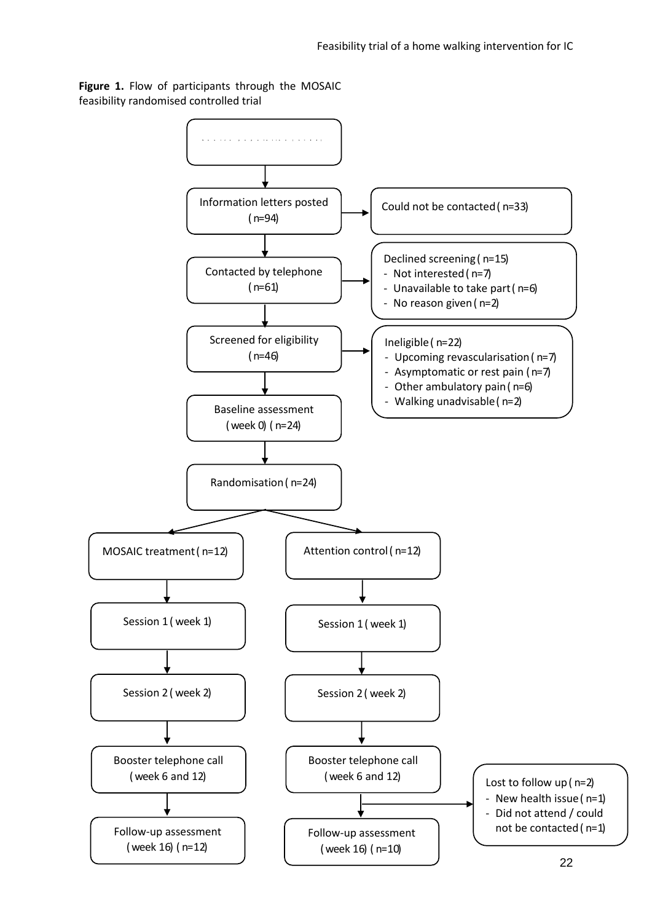

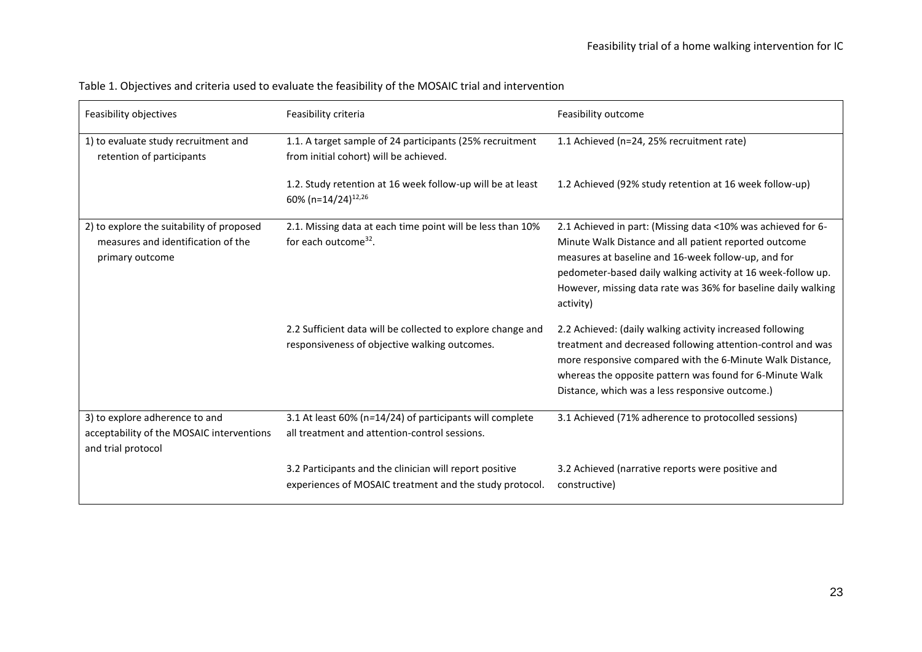| Feasibility objectives                                                                             | Feasibility criteria                                                                                               | Feasibility outcome                                                                                                                                                                                                                                                                                                        |
|----------------------------------------------------------------------------------------------------|--------------------------------------------------------------------------------------------------------------------|----------------------------------------------------------------------------------------------------------------------------------------------------------------------------------------------------------------------------------------------------------------------------------------------------------------------------|
| 1) to evaluate study recruitment and<br>retention of participants                                  | 1.1. A target sample of 24 participants (25% recruitment<br>from initial cohort) will be achieved.                 | 1.1 Achieved (n=24, 25% recruitment rate)                                                                                                                                                                                                                                                                                  |
|                                                                                                    | 1.2. Study retention at 16 week follow-up will be at least<br>60% (n=14/24) <sup>12,26</sup>                       | 1.2 Achieved (92% study retention at 16 week follow-up)                                                                                                                                                                                                                                                                    |
| 2) to explore the suitability of proposed<br>measures and identification of the<br>primary outcome | 2.1. Missing data at each time point will be less than 10%<br>for each outcome <sup>32</sup> .                     | 2.1 Achieved in part: (Missing data <10% was achieved for 6-<br>Minute Walk Distance and all patient reported outcome<br>measures at baseline and 16-week follow-up, and for<br>pedometer-based daily walking activity at 16 week-follow up.<br>However, missing data rate was 36% for baseline daily walking<br>activity) |
|                                                                                                    | 2.2 Sufficient data will be collected to explore change and<br>responsiveness of objective walking outcomes.       | 2.2 Achieved: (daily walking activity increased following<br>treatment and decreased following attention-control and was<br>more responsive compared with the 6-Minute Walk Distance,<br>whereas the opposite pattern was found for 6-Minute Walk<br>Distance, which was a less responsive outcome.)                       |
| 3) to explore adherence to and<br>acceptability of the MOSAIC interventions<br>and trial protocol  | 3.1 At least 60% (n=14/24) of participants will complete<br>all treatment and attention-control sessions.          | 3.1 Achieved (71% adherence to protocolled sessions)                                                                                                                                                                                                                                                                       |
|                                                                                                    | 3.2 Participants and the clinician will report positive<br>experiences of MOSAIC treatment and the study protocol. | 3.2 Achieved (narrative reports were positive and<br>constructive)                                                                                                                                                                                                                                                         |

Table 1. Objectives and criteria used to evaluate the feasibility of the MOSAIC trial and intervention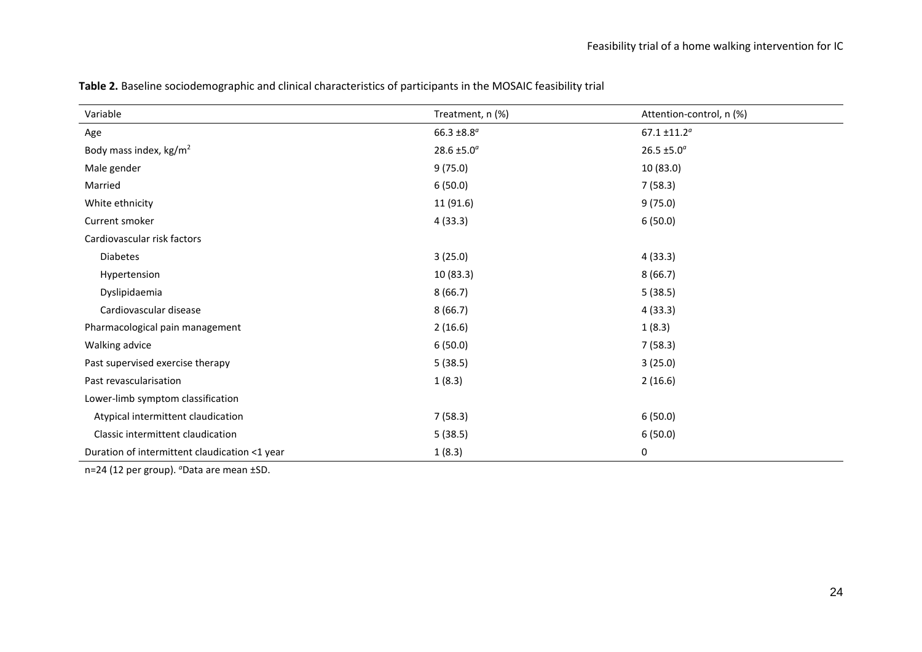| Variable                                      | Treatment, n (%) | Attention-control, n (%) |
|-----------------------------------------------|------------------|--------------------------|
| Age                                           | 66.3 ±8.8 $a$    | $67.1 \pm 11.2^a$        |
| Body mass index, $\text{kg/m}^2$              | 28.6 ±5.0 $^{a}$ | 26.5 ±5.0 $^{a}$         |
| Male gender                                   | 9(75.0)          | 10 (83.0)                |
| Married                                       | 6(50.0)          | 7(58.3)                  |
| White ethnicity                               | 11 (91.6)        | 9(75.0)                  |
| Current smoker                                | 4(33.3)          | 6(50.0)                  |
| Cardiovascular risk factors                   |                  |                          |
| <b>Diabetes</b>                               | 3(25.0)          | 4(33.3)                  |
| Hypertension                                  | 10(83.3)         | 8(66.7)                  |
| Dyslipidaemia                                 | 8(66.7)          | 5(38.5)                  |
| Cardiovascular disease                        | 8(66.7)          | 4(33.3)                  |
| Pharmacological pain management               | 2(16.6)          | 1(8.3)                   |
| Walking advice                                | 6(50.0)          | 7(58.3)                  |
| Past supervised exercise therapy              | 5(38.5)          | 3(25.0)                  |
| Past revascularisation                        | 1(8.3)           | 2(16.6)                  |
| Lower-limb symptom classification             |                  |                          |
| Atypical intermittent claudication            | 7(58.3)          | 6(50.0)                  |
| Classic intermittent claudication             | 5(38.5)          | 6(50.0)                  |
| Duration of intermittent claudication <1 year | 1(8.3)           | 0                        |

**Table 2.** Baseline sociodemographic and clinical characteristics of participants in the MOSAIC feasibility trial

n=24 (12 per group). *a*Data are mean ±SD.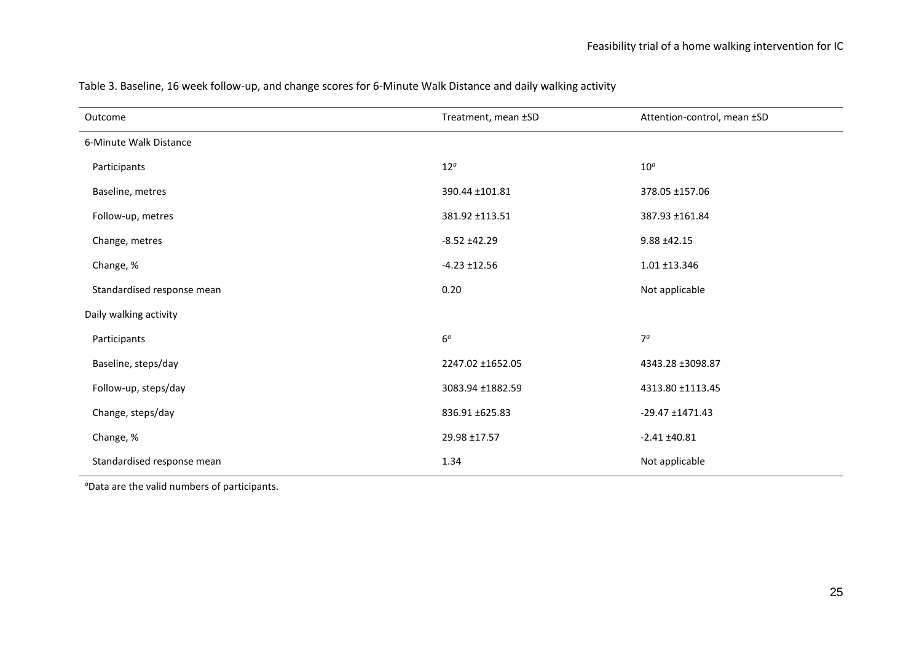| Outcome                    | Treatment, mean ±SD | Attention-control, mean ±SD |
|----------------------------|---------------------|-----------------------------|
| 6-Minute Walk Distance     |                     |                             |
| Participants               | $12^{\circ}$        | $10^a$                      |
| Baseline, metres           | 390.44 ±101.81      | 378.05 ±157.06              |
| Follow-up, metres          | 381.92 ±113.51      | 387.93 ±161.84              |
| Change, metres             | $-8.52 + 42.29$     | $9.88 + 42.15$              |
| Change, %                  | $-4.23 \pm 12.56$   | 1.01 ±13.346                |
| Standardised response mean | 0.20                | Not applicable              |
| Daily walking activity     |                     |                             |
| Participants               | $6^{\it a}$         | 7 <sup>a</sup>              |
| Baseline, steps/day        | 2247.02 ±1652.05    | 4343.28 ±3098.87            |
| Follow-up, steps/day       | 3083.94 ±1882.59    | 4313.80 ±1113.45            |
| Change, steps/day          | 836.91 ±625.83      | $-29.47 + 1471.43$          |
| Change, %                  | 29.98 ±17.57        | $-2.41 \pm 40.81$           |
| Standardised response mean | 1.34                | Not applicable              |

Table 3. Baseline, 16 week follow-up, and change scores for 6-Minute Walk Distance and daily walking activity

*<sup>a</sup>*Data are the valid numbers of participants.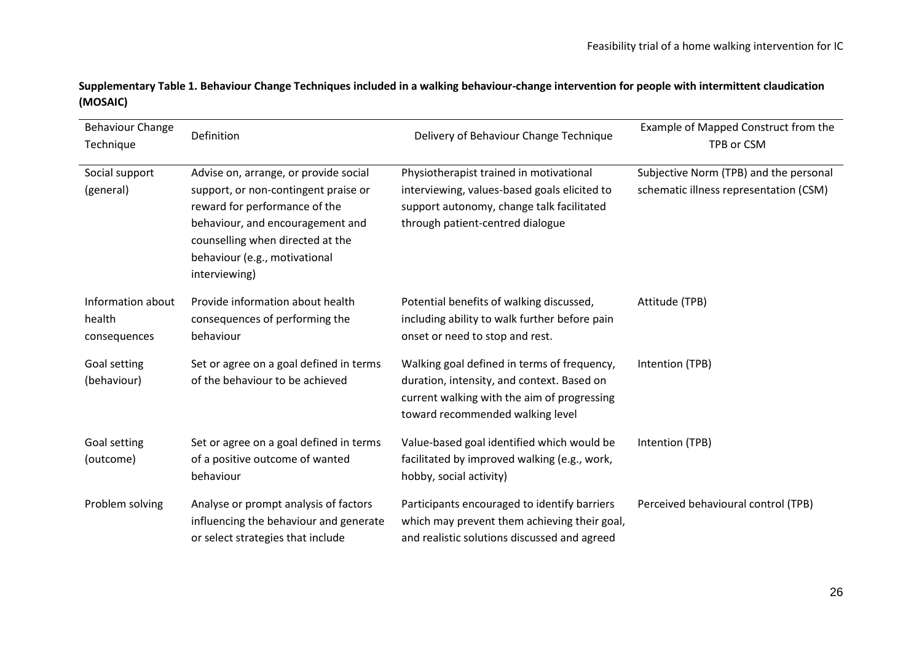**Supplementary Table 1. Behaviour Change Techniques included in a walking behaviour-change intervention for people with intermittent claudication (MOSAIC)**

| <b>Behaviour Change</b><br>Technique        | Definition                                                                                                                                                                                                                               | Delivery of Behaviour Change Technique                                                                                                                                       | Example of Mapped Construct from the<br>TPB or CSM                               |
|---------------------------------------------|------------------------------------------------------------------------------------------------------------------------------------------------------------------------------------------------------------------------------------------|------------------------------------------------------------------------------------------------------------------------------------------------------------------------------|----------------------------------------------------------------------------------|
| Social support<br>(general)                 | Advise on, arrange, or provide social<br>support, or non-contingent praise or<br>reward for performance of the<br>behaviour, and encouragement and<br>counselling when directed at the<br>behaviour (e.g., motivational<br>interviewing) | Physiotherapist trained in motivational<br>interviewing, values-based goals elicited to<br>support autonomy, change talk facilitated<br>through patient-centred dialogue     | Subjective Norm (TPB) and the personal<br>schematic illness representation (CSM) |
| Information about<br>health<br>consequences | Provide information about health<br>consequences of performing the<br>behaviour                                                                                                                                                          | Potential benefits of walking discussed,<br>including ability to walk further before pain<br>onset or need to stop and rest.                                                 | Attitude (TPB)                                                                   |
| Goal setting<br>(behaviour)                 | Set or agree on a goal defined in terms<br>of the behaviour to be achieved                                                                                                                                                               | Walking goal defined in terms of frequency,<br>duration, intensity, and context. Based on<br>current walking with the aim of progressing<br>toward recommended walking level | Intention (TPB)                                                                  |
| Goal setting<br>(outcome)                   | Set or agree on a goal defined in terms<br>of a positive outcome of wanted<br>behaviour                                                                                                                                                  | Value-based goal identified which would be<br>facilitated by improved walking (e.g., work,<br>hobby, social activity)                                                        | Intention (TPB)                                                                  |
| Problem solving                             | Analyse or prompt analysis of factors<br>influencing the behaviour and generate<br>or select strategies that include                                                                                                                     | Participants encouraged to identify barriers<br>which may prevent them achieving their goal,<br>and realistic solutions discussed and agreed                                 | Perceived behavioural control (TPB)                                              |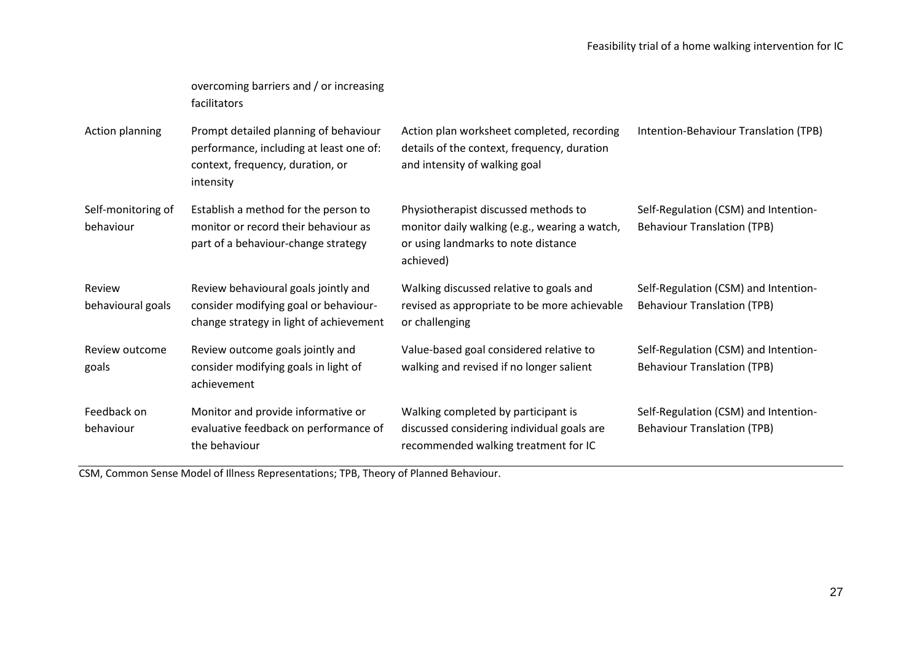|                                 | overcoming barriers and / or increasing<br>facilitators                                                                           |                                                                                                                                           |                                                                            |
|---------------------------------|-----------------------------------------------------------------------------------------------------------------------------------|-------------------------------------------------------------------------------------------------------------------------------------------|----------------------------------------------------------------------------|
| Action planning                 | Prompt detailed planning of behaviour<br>performance, including at least one of:<br>context, frequency, duration, or<br>intensity | Action plan worksheet completed, recording<br>details of the context, frequency, duration<br>and intensity of walking goal                | Intention-Behaviour Translation (TPB)                                      |
| Self-monitoring of<br>behaviour | Establish a method for the person to<br>monitor or record their behaviour as<br>part of a behaviour-change strategy               | Physiotherapist discussed methods to<br>monitor daily walking (e.g., wearing a watch,<br>or using landmarks to note distance<br>achieved) | Self-Regulation (CSM) and Intention-<br><b>Behaviour Translation (TPB)</b> |
| Review<br>behavioural goals     | Review behavioural goals jointly and<br>consider modifying goal or behaviour-<br>change strategy in light of achievement          | Walking discussed relative to goals and<br>revised as appropriate to be more achievable<br>or challenging                                 | Self-Regulation (CSM) and Intention-<br><b>Behaviour Translation (TPB)</b> |
| Review outcome<br>goals         | Review outcome goals jointly and<br>consider modifying goals in light of<br>achievement                                           | Value-based goal considered relative to<br>walking and revised if no longer salient                                                       | Self-Regulation (CSM) and Intention-<br><b>Behaviour Translation (TPB)</b> |
| Feedback on<br>behaviour        | Monitor and provide informative or<br>evaluative feedback on performance of<br>the behaviour                                      | Walking completed by participant is<br>discussed considering individual goals are<br>recommended walking treatment for IC                 | Self-Regulation (CSM) and Intention-<br><b>Behaviour Translation (TPB)</b> |

CSM, Common Sense Model of Illness Representations; TPB, Theory of Planned Behaviour.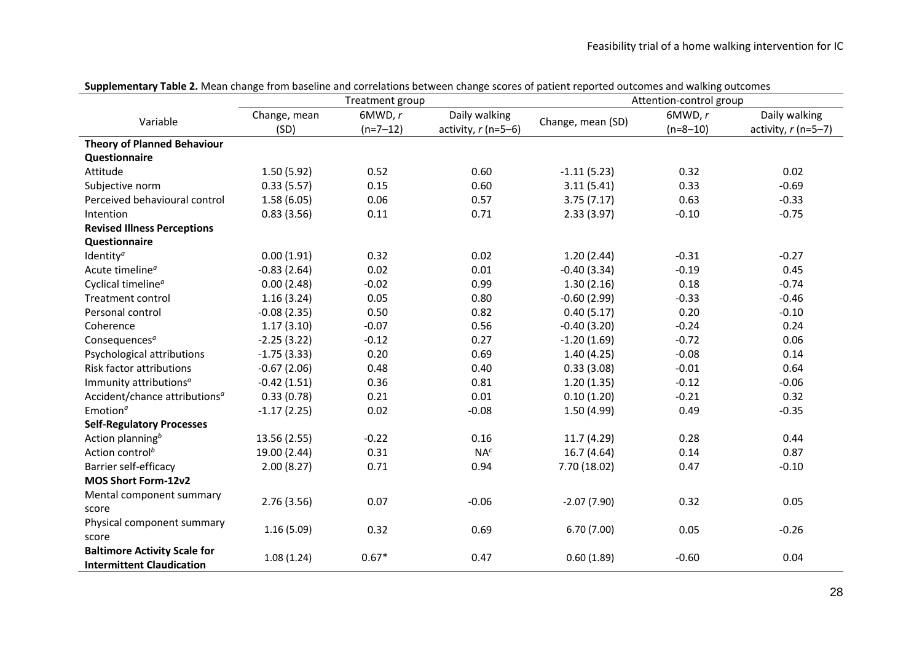|                                           |               | Treatment group |                      | <b>TWEE EFITTERS</b> CRAFTS TO THE BUSCHILLE WITH COLLEGEROLD BECHEELT CRAFTS. SCOTES OF BULLETIC POPPLES ONCORRENT WORK | Attention-control group |                      |
|-------------------------------------------|---------------|-----------------|----------------------|--------------------------------------------------------------------------------------------------------------------------|-------------------------|----------------------|
| Variable                                  | Change, mean  | 6MWD, r         | Daily walking        | Change, mean (SD)                                                                                                        | 6MWD, r                 | Daily walking        |
|                                           | (SD)          | $(n=7-12)$      | activity, $r(n=5-6)$ |                                                                                                                          | $(n=8-10)$              | activity, $r(n=5-7)$ |
| <b>Theory of Planned Behaviour</b>        |               |                 |                      |                                                                                                                          |                         |                      |
| Questionnaire                             |               |                 |                      |                                                                                                                          |                         |                      |
| Attitude                                  | 1.50(5.92)    | 0.52            | 0.60                 | $-1.11(5.23)$                                                                                                            | 0.32                    | 0.02                 |
| Subjective norm                           | 0.33(5.57)    | 0.15            | 0.60                 | 3.11(5.41)                                                                                                               | 0.33                    | $-0.69$              |
| Perceived behavioural control             | 1.58(6.05)    | 0.06            | 0.57                 | 3.75(7.17)                                                                                                               | 0.63                    | $-0.33$              |
| Intention                                 | 0.83(3.56)    | 0.11            | 0.71                 | 2.33(3.97)                                                                                                               | $-0.10$                 | $-0.75$              |
| <b>Revised Illness Perceptions</b>        |               |                 |                      |                                                                                                                          |                         |                      |
| <b>Questionnaire</b>                      |               |                 |                      |                                                                                                                          |                         |                      |
| Identity <sup>a</sup>                     | 0.00(1.91)    | 0.32            | 0.02                 | 1.20(2.44)                                                                                                               | $-0.31$                 | $-0.27$              |
| Acute timeline <sup>a</sup>               | $-0.83(2.64)$ | 0.02            | 0.01                 | $-0.40(3.34)$                                                                                                            | $-0.19$                 | 0.45                 |
| Cyclical timeline <sup>a</sup>            | 0.00(2.48)    | $-0.02$         | 0.99                 | 1.30(2.16)                                                                                                               | 0.18                    | $-0.74$              |
| <b>Treatment control</b>                  | 1.16(3.24)    | 0.05            | 0.80                 | $-0.60(2.99)$                                                                                                            | $-0.33$                 | $-0.46$              |
| Personal control                          | $-0.08(2.35)$ | 0.50            | 0.82                 | 0.40(5.17)                                                                                                               | 0.20                    | $-0.10$              |
| Coherence                                 | 1.17(3.10)    | $-0.07$         | 0.56                 | $-0.40(3.20)$                                                                                                            | $-0.24$                 | 0.24                 |
| Consequences <sup>a</sup>                 | $-2.25(3.22)$ | $-0.12$         | 0.27                 | $-1.20(1.69)$                                                                                                            | $-0.72$                 | 0.06                 |
| Psychological attributions                | $-1.75(3.33)$ | 0.20            | 0.69                 | 1.40(4.25)                                                                                                               | $-0.08$                 | 0.14                 |
| Risk factor attributions                  | $-0.67(2.06)$ | 0.48            | 0.40                 | 0.33(3.08)                                                                                                               | $-0.01$                 | 0.64                 |
| Immunity attributions <sup>a</sup>        | $-0.42(1.51)$ | 0.36            | 0.81                 | 1.20(1.35)                                                                                                               | $-0.12$                 | $-0.06$              |
| Accident/chance attributions <sup>a</sup> | 0.33(0.78)    | 0.21            | 0.01                 | 0.10(1.20)                                                                                                               | $-0.21$                 | 0.32                 |
| Emotion <sup><math>a</math></sup>         | $-1.17(2.25)$ | 0.02            | $-0.08$              | 1.50(4.99)                                                                                                               | 0.49                    | $-0.35$              |
| <b>Self-Regulatory Processes</b>          |               |                 |                      |                                                                                                                          |                         |                      |
| Action planning <sup>b</sup>              | 13.56 (2.55)  | $-0.22$         | 0.16                 | 11.7 (4.29)                                                                                                              | 0.28                    | 0.44                 |
| Action control <sup>b</sup>               | 19.00 (2.44)  | 0.31            | $NA^c$               | 16.7(4.64)                                                                                                               | 0.14                    | 0.87                 |
| Barrier self-efficacy                     | 2.00(8.27)    | 0.71            | 0.94                 | 7.70 (18.02)                                                                                                             | 0.47                    | $-0.10$              |
| MOS Short Form-12v2                       |               |                 |                      |                                                                                                                          |                         |                      |
| Mental component summary                  |               |                 |                      |                                                                                                                          |                         |                      |
| score                                     | 2.76(3.56)    | 0.07            | $-0.06$              | $-2.07(7.90)$                                                                                                            | 0.32                    | 0.05                 |
| Physical component summary                |               |                 |                      |                                                                                                                          |                         |                      |
| score                                     | 1.16(5.09)    | 0.32            | 0.69                 | 6.70(7.00)                                                                                                               | 0.05                    | $-0.26$              |
| <b>Baltimore Activity Scale for</b>       |               | $0.67*$         | 0.47                 |                                                                                                                          | $-0.60$                 | 0.04                 |
| <b>Intermittent Claudication</b>          | 1.08(1.24)    |                 |                      | 0.60(1.89)                                                                                                               |                         |                      |

**Supplementary Table 2.** Mean change from baseline and correlations between change scores of patient reported outcomes and walking outcomes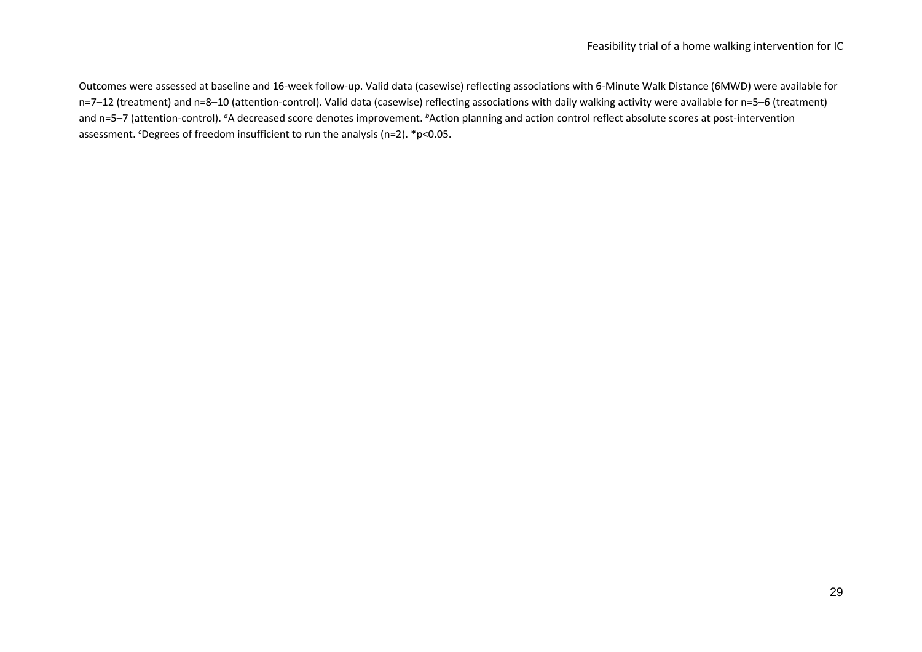Outcomes were assessed at baseline and 16-week follow-up. Valid data (casewise) reflecting associations with 6-Minute Walk Distance (6MWD) were available for n=7–12 (treatment) and n=8–10 (attention-control). Valid data (casewise) reflecting associations with daily walking activity were available for n=5–6 (treatment) and n=5–7 (attention-control). <sup>*a*</sup>A decreased score denotes improvement. <sup>b</sup>Action planning and action control reflect absolute scores at post-intervention assessment. *<sup>c</sup>*Degrees of freedom insufficient to run the analysis (n=2). \*p<0.05.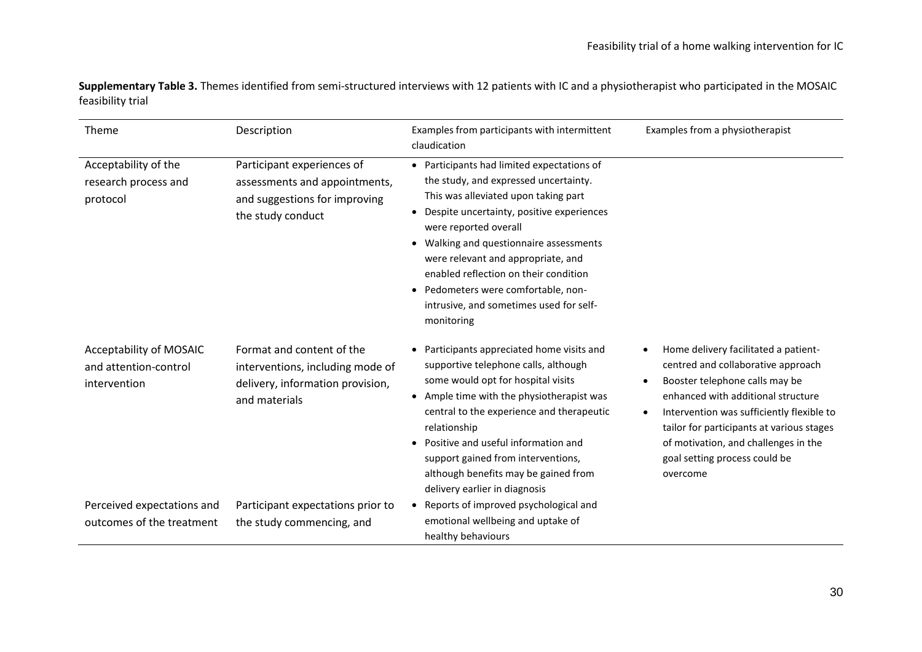**Supplementary Table 3.** Themes identified from semi-structured interviews with 12 patients with IC and a physiotherapist who participated in the MOSAIC feasibility trial

| Theme                                                            | Description                                                                                                        | Examples from participants with intermittent<br>claudication                                                                                                                                                                                                                                                                                                                                                                                        | Examples from a physiotherapist                                                                                                                                                                                                                                                                                                                |
|------------------------------------------------------------------|--------------------------------------------------------------------------------------------------------------------|-----------------------------------------------------------------------------------------------------------------------------------------------------------------------------------------------------------------------------------------------------------------------------------------------------------------------------------------------------------------------------------------------------------------------------------------------------|------------------------------------------------------------------------------------------------------------------------------------------------------------------------------------------------------------------------------------------------------------------------------------------------------------------------------------------------|
| Acceptability of the<br>research process and<br>protocol         | Participant experiences of<br>assessments and appointments,<br>and suggestions for improving<br>the study conduct  | • Participants had limited expectations of<br>the study, and expressed uncertainty.<br>This was alleviated upon taking part<br>Despite uncertainty, positive experiences<br>$\bullet$<br>were reported overall<br>Walking and questionnaire assessments<br>$\bullet$<br>were relevant and appropriate, and<br>enabled reflection on their condition<br>• Pedometers were comfortable, non-<br>intrusive, and sometimes used for self-<br>monitoring |                                                                                                                                                                                                                                                                                                                                                |
| Acceptability of MOSAIC<br>and attention-control<br>intervention | Format and content of the<br>interventions, including mode of<br>delivery, information provision,<br>and materials | • Participants appreciated home visits and<br>supportive telephone calls, although<br>some would opt for hospital visits<br>Ample time with the physiotherapist was<br>$\bullet$<br>central to the experience and therapeutic<br>relationship<br>• Positive and useful information and<br>support gained from interventions,<br>although benefits may be gained from<br>delivery earlier in diagnosis                                               | Home delivery facilitated a patient-<br>centred and collaborative approach<br>Booster telephone calls may be<br>$\bullet$<br>enhanced with additional structure<br>Intervention was sufficiently flexible to<br>tailor for participants at various stages<br>of motivation, and challenges in the<br>goal setting process could be<br>overcome |
| Perceived expectations and<br>outcomes of the treatment          | Participant expectations prior to<br>the study commencing, and                                                     | Reports of improved psychological and<br>emotional wellbeing and uptake of<br>healthy behaviours                                                                                                                                                                                                                                                                                                                                                    |                                                                                                                                                                                                                                                                                                                                                |